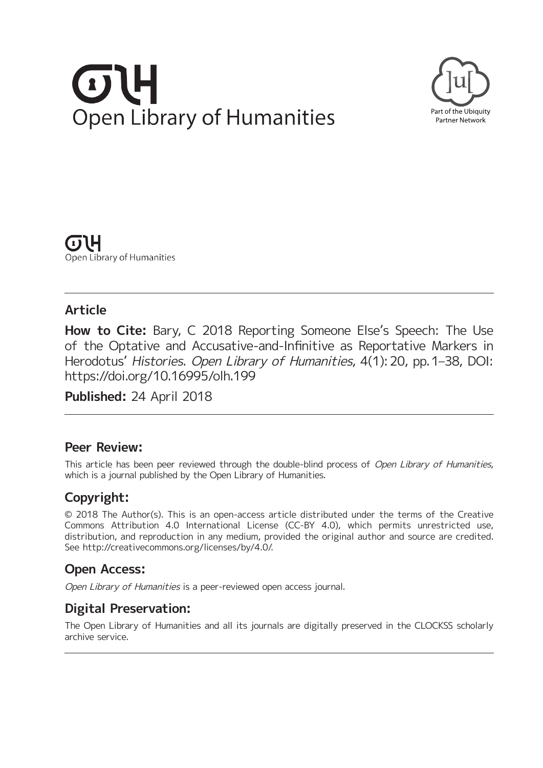# **Open Library of Humanities**



(1) LH Open Library of Humanities

# **Article**

**How to Cite:** Bary, C 2018 Reporting Someone Else's Speech: The Use of the Optative and Accusative-and-Infinitive as Reportative Markers in Herodotus' Histories. Open Library of Humanities, 4(1): 20, pp. 1-38, DOI: <https://doi.org/10.16995/olh.199>

**Published:** 24 April 2018

# **Peer Review:**

This article has been peer reviewed through the double-blind process of Open Library of Humanities, which is a journal published by the Open Library of Humanities.

# **Copyright:**

© 2018 The Author(s). This is an open-access article distributed under the terms of the Creative Commons Attribution 4.0 International License (CC-BY 4.0), which permits unrestricted use, distribution, and reproduction in any medium, provided the original author and source are credited. See [http://creativecommons.org/licenses/by/4.0/.](http://creativecommons.org/licenses/by/4.0/)

# **Open Access:**

Open Library of Humanities is a peer-reviewed open access journal.

# **Digital Preservation:**

The Open Library of Humanities and all its journals are digitally preserved in the CLOCKSS scholarly archive service.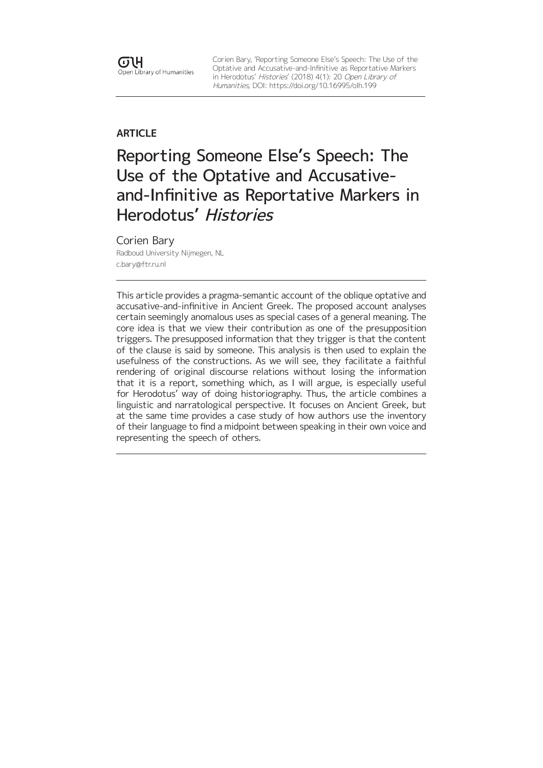Corien Bary, 'Reporting Someone Else's Speech: The Use of the Optative and Accusative-and-Infinitive as Reportative Markers in Herodotus' Histories' (2018) 4(1): 20 Open Library of Humanities, DOI:<https://doi.org/10.16995/olh.199>

## **ARTICLE**

Reporting Someone Else's Speech: The Use of the Optative and Accusativeand-Infinitive as Reportative Markers in Herodotus' Histories

#### Corien Bary

Radboud University Nijmegen, NL [c.bary@ftr.ru.nl](mailto:c.bary@ftr.ru.nl)

This article provides a pragma-semantic account of the oblique optative and accusative-and-infinitive in Ancient Greek. The proposed account analyses certain seemingly anomalous uses as special cases of a general meaning. The core idea is that we view their contribution as one of the presupposition triggers. The presupposed information that they trigger is that the content of the clause is said by someone. This analysis is then used to explain the usefulness of the constructions. As we will see, they facilitate a faithful rendering of original discourse relations without losing the information that it is a report, something which, as I will argue, is especially useful for Herodotus' way of doing historiography. Thus, the article combines a linguistic and narratological perspective. It focuses on Ancient Greek, but at the same time provides a case study of how authors use the inventory of their language to find a midpoint between speaking in their own voice and representing the speech of others.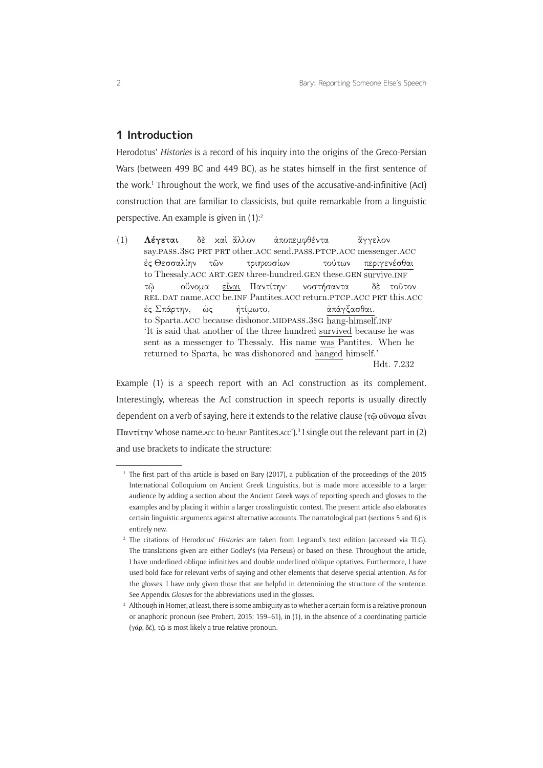## **1 Introduction**

Herodotus' *Histories* is a record of his inquiry into the origins of the Greco-Persian Wars (between 499 BC and 449 BC), as he states himself in the first sentence of the work.<sup>1</sup> Throughout the work, we find uses of the accusative-and-infinitive (AcI) construction that are familiar to classicists, but quite remarkable from a linguistic perspective. An example is given in (1):2

 $(1)$  Λέγεται say.pass.3sg prt prt other.acc send.pass.ptcp.acc messenger.acc δέ χα<mark>ί</mark> ἄλλον αποπεμφθέντα άγγελον ἐς Θεσσαλίην to Thessaly. ACC ART. GEN three-hundred. GEN these. GEN survive. INF τῶν τριηχοσίων τούτων περιγενέσθαι  $\tau\tilde{\omega}$ rel.dat name.acc be.inf Pantites.acc return.ptcp.acc prt this.acc ούνομα <u>είναι</u> Παντίτην<sup>.</sup> νοστήσαντα δ τοτον ές Σπάρτην, to Sparta. ACC because dishonor. MIDPASS. 3SG hang-himself. INF ώς ήτίμωτο, άπάγξασθαι. 'It is said that another of the three hundred survived because he was sent as a messenger to Thessaly. His name was Pantites. When he returned to Sparta, he was dishonored and hanged himself.' Hdt. 7.232

Example (1) is a speech report with an AcI construction as its complement. Interestingly, whereas the AcI construction in speech reports is usually directly dependent on a verb of saying, here it extends to the relative clause (τῷ οὔνομα εἶναι  $\Pi$ αντίτην 'whose name.acc to-be.inf Pantites.acc').<sup>3</sup> I single out the relevant part in (2) and use brackets to indicate the structure:

<sup>&</sup>lt;sup>1</sup> The first part of this article is based on Bary (2017), a publication of the proceedings of the 2015 International Colloquium on Ancient Greek Linguistics, but is made more accessible to a larger audience by adding a section about the Ancient Greek ways of reporting speech and glosses to the examples and by placing it within a larger crosslinguistic context. The present article also elaborates certain linguistic arguments against alternative accounts. The narratological part (sections 5 and 6) is entirely new.

<sup>2</sup> The citations of Herodotus' *Histories* are taken from Legrand's text edition (accessed via TLG). The translations given are either Godley's (via Perseus) or based on these. Throughout the article, I have underlined oblique infinitives and double underlined oblique optatives. Furthermore, I have used bold face for relevant verbs of saying and other elements that deserve special attention. As for the glosses, I have only given those that are helpful in determining the structure of the sentence. See Appendix *Glosses* for the abbreviations used in the glosses.

<sup>&</sup>lt;sup>3</sup> Although in Homer, at least, there is some ambiguity as to whether a certain form is a relative pronoun or anaphoric pronoun (see Probert, 2015: 159–61), in (1), in the absence of a coordinating particle (γάρ, δέ), τῷ is most likely a true relative pronoun.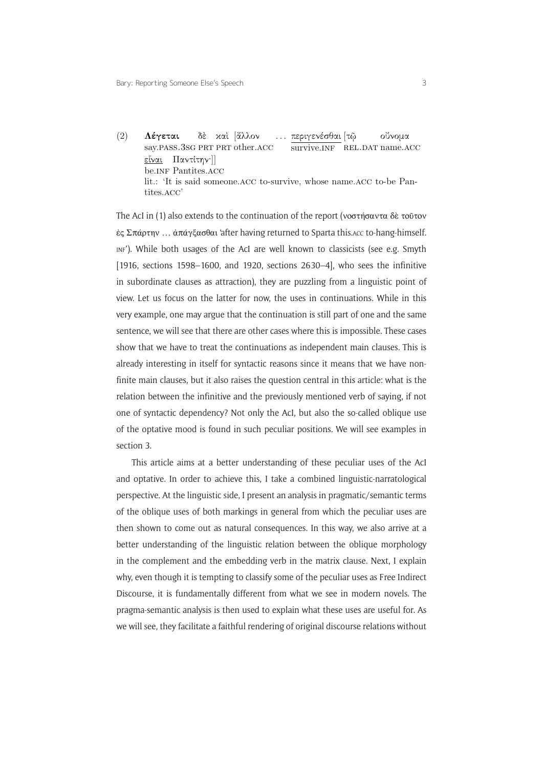(2) Λέγεται say.PASS. $3$ SG PRT PRT other.ACC δὲ xαὶ[ἄλλον ... περιγενέσθαι [τῷ survive.INF REL.DAT name.ACC ούνομα <u>εἶναι</u> Παντίτην·]] be.inf Pantites.acc lit.: 'It is said someone.acc to-survive, whose name.acc to-be Pantites.acc'

The AcI in (1) also extends to the continuation of the report (νοστήσαντα δὲ τοῦτον ἐς Σπάρτην … ἀπάγξασθαι 'after having returned to Sparta this.acc to-hang-himself. inf'). While both usages of the AcI are well known to classicists (see e.g. Smyth [1916, sections 1598–1600, and 1920, sections  $2630-4$ ], who sees the infinitive in subordinate clauses as attraction), they are puzzling from a linguistic point of view. Let us focus on the latter for now, the uses in continuations. While in this very example, one may argue that the continuation is still part of one and the same sentence, we will see that there are other cases where this is impossible. These cases show that we have to treat the continuations as independent main clauses. This is already interesting in itself for syntactic reasons since it means that we have nonfinite main clauses, but it also raises the question central in this article: what is the relation between the infinitive and the previously mentioned verb of saying, if not one of syntactic dependency? Not only the AcI, but also the so-called oblique use of the optative mood is found in such peculiar positions. We will see examples in section 3.

1 why, even though it is tempting to classify some of the peculiar uses as Free Indirect This article aims at a better understanding of these peculiar uses of the AcI and optative. In order to achieve this, I take a combined linguistic-narratological perspective. At the linguistic side, I present an analysis in pragmatic/semantic terms of the oblique uses of both markings in general from which the peculiar uses are then shown to come out as natural consequences. In this way, we also arrive at a better understanding of the linguistic relation between the oblique morphology in the complement and the embedding verb in the matrix clause. Next, I explain Discourse, it is fundamentally different from what we see in modern novels. The pragma-semantic analysis is then used to explain what these uses are useful for. As we will see, they facilitate a faithful rendering of original discourse relations without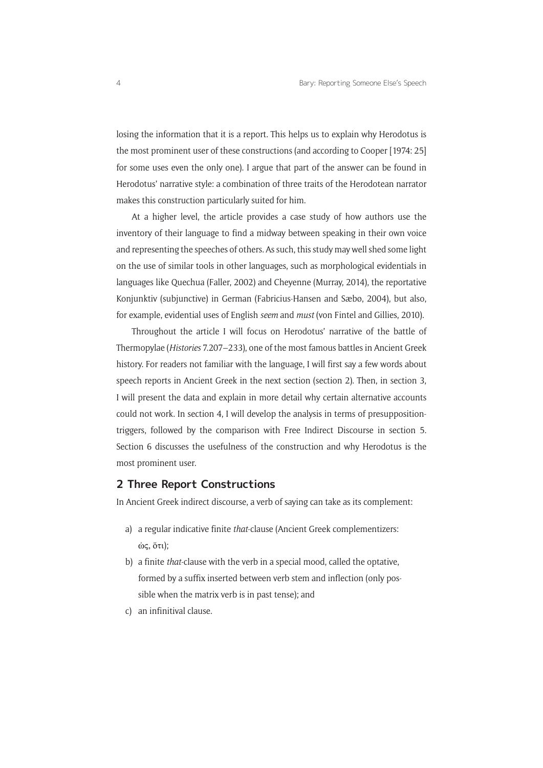losing the information that it is a report. This helps us to explain why Herodotus is the most prominent user of these constructions (and according to Cooper [1974: 25] for some uses even the only one). I argue that part of the answer can be found in Herodotus' narrative style: a combination of three traits of the Herodotean narrator makes this construction particularly suited for him.

At a higher level, the article provides a case study of how authors use the inventory of their language to find a midway between speaking in their own voice and representing the speeches of others. As such, this study may well shed some light on the use of similar tools in other languages, such as morphological evidentials in languages like Quechua (Faller, 2002) and Cheyenne (Murray, 2014), the reportative Konjunktiv (subjunctive) in German (Fabricius-Hansen and Sæbø, 2004), but also, for example, evidential uses of English *seem* and *must* (von Fintel and Gillies, 2010).

Throughout the article I will focus on Herodotus' narrative of the battle of Thermopylae (*Histories* 7.207–233), one of the most famous battles in Ancient Greek history. For readers not familiar with the language, I will first say a few words about speech reports in Ancient Greek in the next section (section 2). Then, in section 3, I will present the data and explain in more detail why certain alternative accounts could not work. In section 4, I will develop the analysis in terms of presuppositiontriggers, followed by the comparison with Free Indirect Discourse in section 5. Section 6 discusses the usefulness of the construction and why Herodotus is the most prominent user.

#### **2 Three Report Constructions**

In Ancient Greek indirect discourse, a verb of saying can take as its complement:

- a) a regular indicative finite *that*-clause (Ancient Greek complementizers: ὡς, ὅτι);
- b) a finite *that*-clause with the verb in a special mood, called the optative, formed by a suffix inserted between verb stem and inflection (only possible when the matrix verb is in past tense); and
- c) an infinitival clause.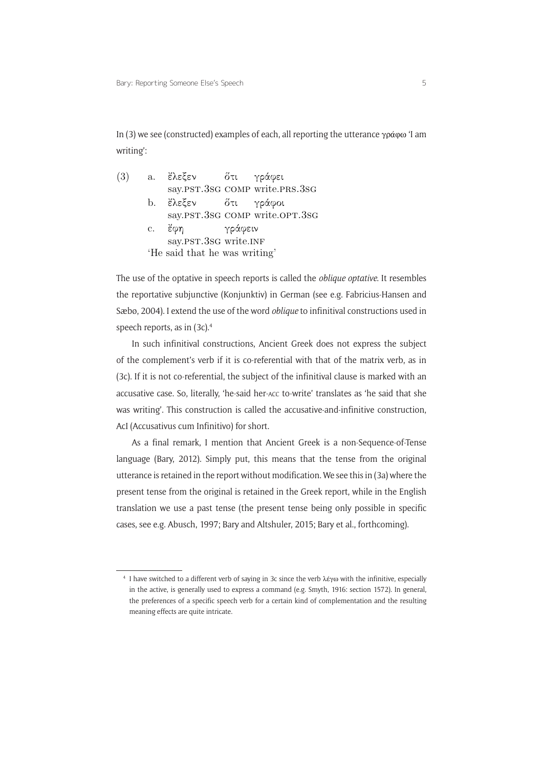In (3) we see (constructed) examples of each, all reporting the utterance γράφω 'I am writing':

(3) a.  $\epsilon \lambda \epsilon \epsilon \epsilon \nu$ say.PST.3sG COMP write.PRS.3sG τι γράφει b. έλεξεν say.PST.3sG COMP write.OPT.3sG τι γράφοι c. *έ*φη say.PST.3sG write.INF γράφειν 'He said that he was writing'

The use of the optative in speech reports is called the *oblique optative*. It resembles the reportative subjunctive (Konjunktiv) in German (see e.g. Fabricius-Hansen and Sæbø, 2004). I extend the use of the word *oblique* to infinitival constructions used in speech reports, as in (3c).4

In such infinitival constructions, Ancient Greek does not express the subject of the complement's verb if it is co-referential with that of the matrix verb, as in (3c). If it is not co-referential, the subject of the infinitival clause is marked with an accusative case. So, literally, 'he-said her-acc to-write' translates as 'he said that she was writing'. This construction is called the accusative-and-infinitive construction, AcI (Accusativus cum Infinitivo) for short.

As a final remark, I mention that Ancient Greek is a non-Sequence-of-Tense language (Bary, 2012). Simply put, this means that the tense from the original utterance is retained in the report without modification. We see this in (3a) where the present tense from the original is retained in the Greek report, while in the English translation we use a past tense (the present tense being only possible in specific cases, see e.g. Abusch, 1997; Bary and Altshuler, 2015; Bary et al., forthcoming).

<sup>4</sup> I have switched to a different verb of saying in 3c since the verb λέγω with the infinitive, especially in the active, is generally used to express a command (e.g. Smyth, 1916: section 1572). In general, the preferences of a specific speech verb for a certain kind of complementation and the resulting meaning effects are quite intricate.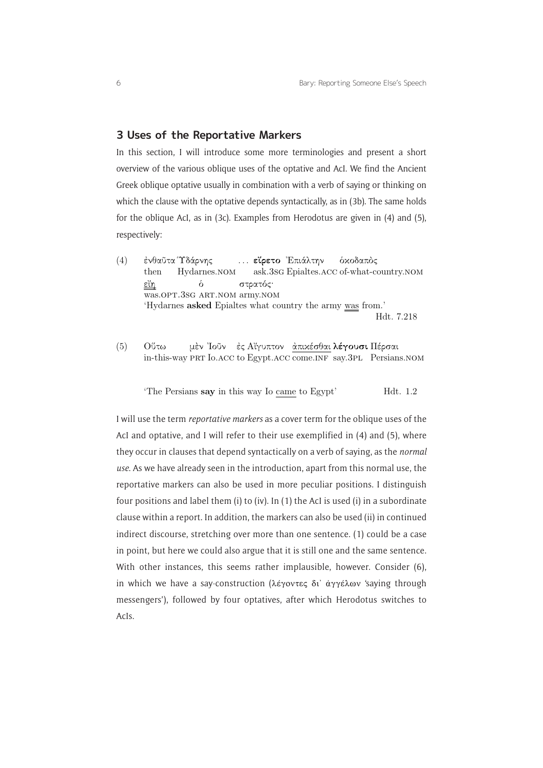#### **3 Uses of the Reportative Markers**

In this section, I will introduce some more terminologies and present a short overview of the various oblique uses of the optative and AcI. We find the Ancient Greek oblique optative usually in combination with a verb of saying or thinking on which the clause with the optative depends syntactically, as in (3b). The same holds for the oblique AcI, as in (3c). Examples from Herodotus are given in (4) and (5), respectively:

- (4) ενθαῦτα Υδάρνης then Hydarnes.nom ... εἴρετο Ἐπιάλτην ask.3sg Epialtes.acc of-what-country.nom <mark>ό</mark>χοδαπὸς εἴη was.OPT.3SG ART.NOM army.NOM  $\delta$ στρατός· 'Hydarnes asked Epialtes what country the army was from.' Hdt. 7.218
- $(5)$  Ούτω in-this-way PRT Io.ACC to Egypt.ACC come.INF say.3PL Persians.NOM μὲν Ίοῦν – ἐς Αἴγυπτον – <u>ἀπιχέσθαι</u> **λέγουσι Π**έρσαι

'The Persians say in this way Io came to Egypt' Hdt. 1.2

I will use the term *reportative markers* as a cover term for the oblique uses of the AcI and optative, and I will refer to their use exemplified in (4) and (5), where they occur in clauses that depend syntactically on a verb of saying, as the *normal use*. As we have already seen in the introduction, apart from this normal use, the reportative markers can also be used in more peculiar positions. I distinguish four positions and label them (i) to (iv). In (1) the AcI is used (i) in a subordinate clause within a report. In addition, the markers can also be used (ii) in continued indirect discourse, stretching over more than one sentence. (1) could be a case in point, but here we could also argue that it is still one and the same sentence. With other instances, this seems rather implausible, however. Consider (6), in which we have a say-construction (λέγοντες δι' άγγέλων 'saying through messengers'), followed by four optatives, after which Herodotus switches to AcIs.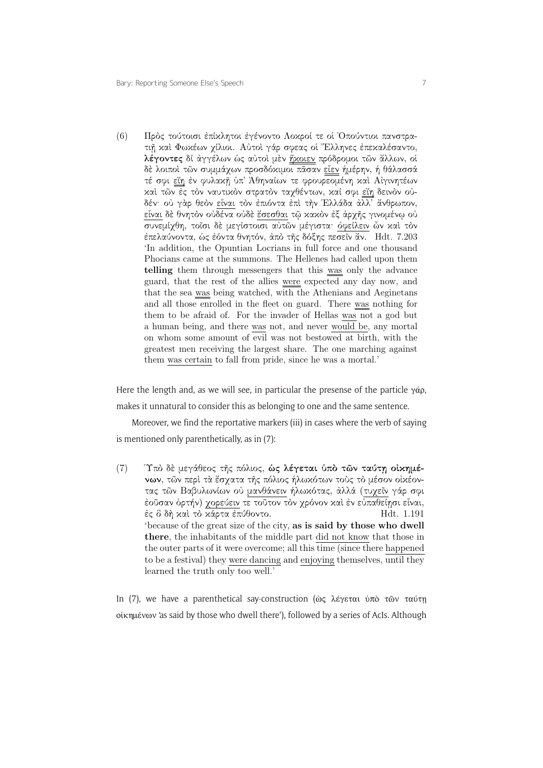(6) — Πρὸς τούτοισι ἐπίχλητοι ἐγένοντο Λοχροί τε οἱ Ὀπούντιοι πανστρατιή και Φωκέων χίλιοι. Αύτοι γάρ σφεας οι Έλληνες επεκαλέσαντο, λέγοντες δί άγγέλων ώς αύτοι μεν ήχοιεν πρόδρομοι τῶν ἄλλων, οί δέ λοιποί των συμμάχων προσδόχιμοι πάσαν είεν ήμέρην, ή θάλασσά τέ σφι <u>εἴη</u> έν φυλακῆ ὑπ' Άθηναίων τε φρουρεομένη καὶ Αίγινητέων καί τῶν ές τὸν ναυτικὸν στρατὸν ταχθέντων, καί σφι εἴη δεινὸν οὐδέν· ού γάρ θεόν είναι τον επιόντα επί την Ελλάδα άλλ' άνθρωπον, είναι δέ θνητόν ούδένα ούδε έσεσθαι τῷ κακόν εξ άρχης γινομένω ού συνεμίχθη, τοΐσι δε μεγίστοισι αύτῶν μέγιστα όφείλειν ὦν και τον επελαύνοντα, ώς εόντα θνητόν, άπό της δόξης πεσεῖν ἄν. Hdt. 7.203 'In addition, the Opuntian Locrians in full force and one thousand Phocians came at the summons. The Hellenes had called upon them telling them through messengers that this was only the advance guard, that the rest of the allies were expected any day now, and that the sea was being watched, with the Athenians and Aeginetans and all those enrolled in the fleet on guard. There was nothing for them to be afraid of. For the invader of Hellas was not a god but a human being, and there was not, and never would be, any mortal on whom some amount of evil was not bestowed at birth, with the greatest men receiving the largest share. The one marching against them was certain to fall from pride, since he was a mortal.'

Here the length and, as we will see, in particular the presense of the particle  $\gamma \dot{\alpha}$ , makes it unnatural to consider this as belonging to one and the same sentence.

Moreover, we find the reportative markers (iii) in cases where the verb of saying is mentioned only parenthetically, as in (7):

1 learned the truth only too well.' (7) Υπό δέ μεγάθεος της πόλιος, ώς λέγεται ύπο των ταύτη οίκημένων, των περί τα έσχατα της πόλιος ήλωκότων τούς το μέσον οικέοντας τῶν Βαβυλωνίων οὐ μανθάνειν ήλωκότας, ἀλλά (τυχεῖν γάρ σφι έοῦσαν όρτήν) χορεύειν τε τοῦτον τὸν χρόνον καὶ ἐν εὐπαθείησι εἶναι,  $\dot{\varepsilon}$ ς δ δή $\dot{\varepsilon}$  καὶ τὸ κάρτα ἐπύθοντο.  $Hdt$ . 1.191 'because of the great size of the city, as is said by those who dwell there, the inhabitants of the middle part did not know that those in the outer parts of it were overcome; all this time (since there happened to be a festival) they were dancing and enjoying themselves, until they

In (7), we have a parenthetical say-construction (ώς λέγεται ὑπὸ τῶν ταύτῃ οἰκημένων 'as said by those who dwell there'), followed by a series of AcIs. Although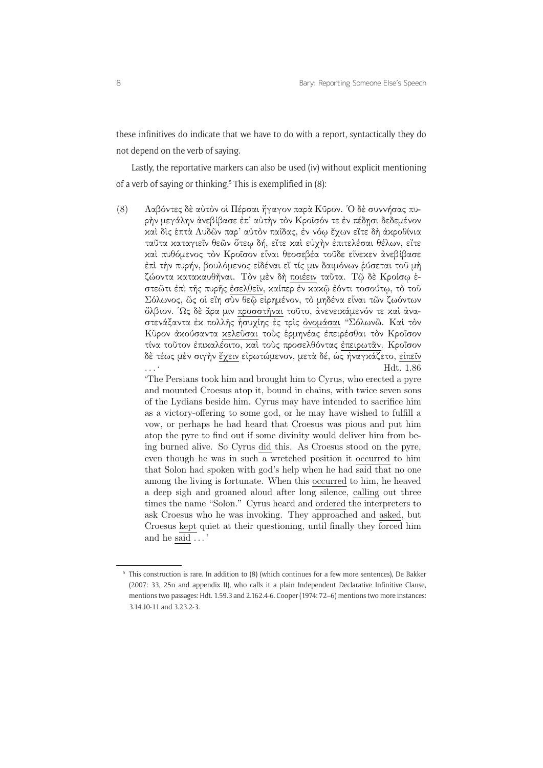these infinitives do indicate that we have to do with a report, syntactically they do not depend on the verb of saying.

Lastly, the reportative markers can also be used (iv) without explicit mentioning of a verb of saying or thinking.<sup>5</sup> This is exemplified in (8):

(8) — Λαβόντες δὲ αὐτὸν οἱ Πέρσαι ἤγαγον παρὰ Κῦρον. Ὁ δὲ συννήσας πυρὴν μεγάλην ἀνεβίβασε ἐπ' αὐτὴν τὸν Κροῖσόν τε ἐν πέδησι δεδεμένον καί δις έπτὰ Λυδῶν παρ' αὐτὸν παΐδας, ἐν νόφ ἔχων εἴτε δὴ ἀκροθίνια ταῦτα καταγιεῖν θεῶν ὅτεῳ δή, εἴτε καὶ εὐχὴν ἐπιτελέσαι θέλων, εἴτε καί πυθόμενος τον Κροΐσον είναι θεοσεβέα τοῦδε είνεκεν άνεβίβασε επὶ τὴν πυρήν, βουλόμενος είδέναι εἴ τίς μιν δαιμόνων ῥύσεται τοῦ μὴ ζώοντα κατακαυθῆναι. Τὸν μὲν δὴ ποιέειν ταῦτα. Τῷ δὲ Κροίσῳ ἑστεῶτι ἐπὶ τῆς πυρῆς ἐσελθεῖν, καίπερ ἐν κακῷ ἐόντι τοσούτῳ, τὸ τοῦ Σόλωνος, ὥς οί εἴη σὺν θεῷ εἰρημένον, τὸ μηδένα εἶναι τῶν ζωόντων όλβιον. Ώς δε άρα μιν προσστήναι τοῦτο, ἀνενεικάμενόν τε καί ἀναστενάξαντα έκ πολλῆς ήσυχίης ές τρίς <u>ὀνομάσαι</u> "Σόλωνὢ. Καί τὸν Κύρον άκούσαντα κελεύσαι τους έρμηνέας έπειρέσθαι τον Κροΐσον τίνα τούτον έπικαλέοιτο, καί τούς προσελθόντας έπειρωταν. Κροΐσον δὲ τέως μὲν σιγὴν ἔχειν εἰρωτώμενον, μετὰ δέ, ὡς ἠναγκάζετο, εἰπεῖν ...<sup>-</sup> Hdt. 1.86

'The Persians took him and brought him to Cyrus, who erected a pyre and mounted Croesus atop it, bound in chains, with twice seven sons of the Lydians beside him. Cyrus may have intended to sacrifice him as a victory-offering to some god, or he may have wished to fulfill a vow, or perhaps he had heard that Croesus was pious and put him atop the pyre to find out if some divinity would deliver him from being burned alive. So Cyrus did this. As Croesus stood on the pyre, even though he was in such a wretched position it occurred to him that Solon had spoken with god's help when he had said that no one among the living is fortunate. When this occurred to him, he heaved a deep sigh and groaned aloud after long silence, calling out three times the name "Solon." Cyrus heard and ordered the interpreters to ask Croesus who he was invoking. They approached and asked, but Croesus kept quiet at their questioning, until finally they forced him and he said . . . '

<sup>&</sup>lt;sup>5</sup> This construction is rare. In addition to (8) (which continues for a few more sentences), De Bakker (2007: 33, 25n and appendix II), who calls it a plain Independent Declarative Infinitive Clause, mentions two passages: Hdt. 1.59.3 and 2.162.4-6. Cooper (1974: 72–6) mentions two more instances: 3.14.10-11 and 3.23.2-3.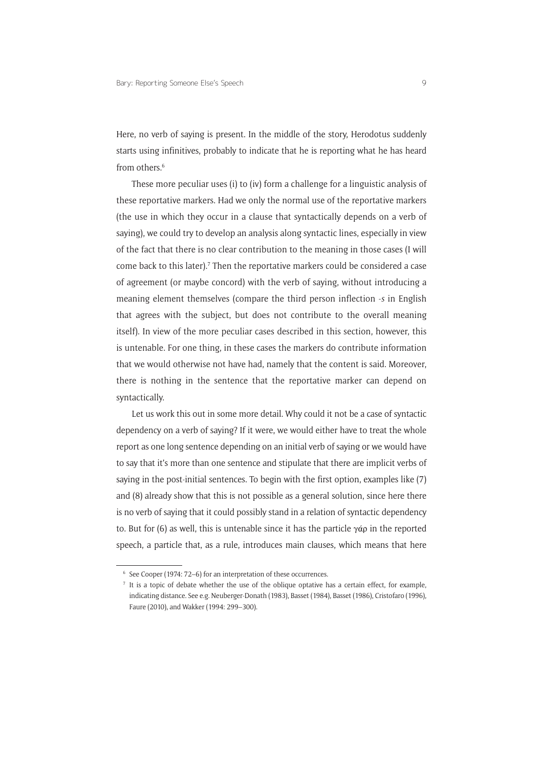Here, no verb of saying is present. In the middle of the story, Herodotus suddenly starts using infinitives, probably to indicate that he is reporting what he has heard from others  $6$ 

These more peculiar uses (i) to (iv) form a challenge for a linguistic analysis of these reportative markers. Had we only the normal use of the reportative markers (the use in which they occur in a clause that syntactically depends on a verb of saying), we could try to develop an analysis along syntactic lines, especially in view of the fact that there is no clear contribution to the meaning in those cases (I will come back to this later).<sup>7</sup> Then the reportative markers could be considered a case of agreement (or maybe concord) with the verb of saying, without introducing a meaning element themselves (compare the third person inflection -*s* in English that agrees with the subject, but does not contribute to the overall meaning itself). In view of the more peculiar cases described in this section, however, this is untenable. For one thing, in these cases the markers do contribute information that we would otherwise not have had, namely that the content is said. Moreover, there is nothing in the sentence that the reportative marker can depend on syntactically.

Let us work this out in some more detail. Why could it not be a case of syntactic dependency on a verb of saying? If it were, we would either have to treat the whole report as one long sentence depending on an initial verb of saying or we would have to say that it's more than one sentence and stipulate that there are implicit verbs of saying in the post-initial sentences. To begin with the first option, examples like (7) and (8) already show that this is not possible as a general solution, since here there is no verb of saying that it could possibly stand in a relation of syntactic dependency to. But for (6) as well, this is untenable since it has the particle γάρ in the reported speech, a particle that, as a rule, introduces main clauses, which means that here

<sup>6</sup> See Cooper (1974: 72–6) for an interpretation of these occurrences.

<sup>7</sup> It is a topic of debate whether the use of the oblique optative has a certain effect, for example, indicating distance. See e.g. Neuberger-Donath (1983), Basset (1984), Basset (1986), Cristofaro (1996), Faure (2010), and Wakker (1994: 299–300).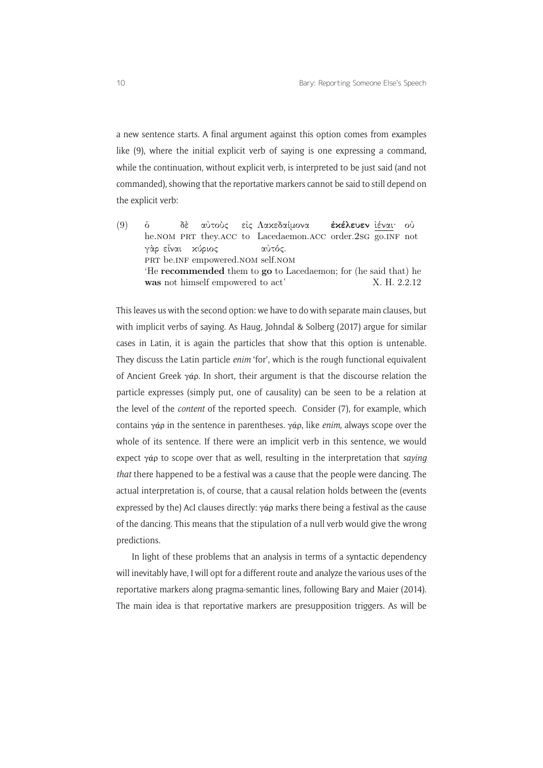a new sentence starts. A final argument against this option comes from examples like (9), where the initial explicit verb of saying is one expressing a command, while the continuation, without explicit verb, is interpreted to be just said (and not commanded), showing that the reportative markers cannot be said to still depend on the explicit verb:

 $(9)$   $\dot{6}$ he.NOM PRT they.ACC to Lacedaemon.ACC order.2SG go.INF not δέ αύτοὺς είς Λακεδαίμονα **εχέλευεν** <u>ίέναι</u>· ού γὰρ εἰναι χύριος PRT be.INF empowered.NOM self.NOM αύτός. 'He recommended them to go to Lacedaemon; for (he said that) he was not himself empowered to act' X. H. 2.2.12

This leaves us with the second option: we have to do with separate main clauses, but with implicit verbs of saying. As Haug, Jøhndal & Solberg (2017) argue for similar cases in Latin, it is again the particles that show that this option is untenable. They discuss the Latin particle *enim* 'for', which is the rough functional equivalent of Ancient Greek γάρ. In short, their argument is that the discourse relation the particle expresses (simply put, one of causality) can be seen to be a relation at the level of the *content* of the reported speech. Consider (7), for example, which contains γάρ in the sentence in parentheses. γάρ, like *enim*, always scope over the whole of its sentence. If there were an implicit verb in this sentence, we would expect γάρ to scope over that as well, resulting in the interpretation that *saying that* there happened to be a festival was a cause that the people were dancing. The actual interpretation is, of course, that a causal relation holds between the (events expressed by the) AcI clauses directly: γάρ marks there being a festival as the cause of the dancing. This means that the stipulation of a null verb would give the wrong predictions.

In light of these problems that an analysis in terms of a syntactic dependency will inevitably have, I will opt for a different route and analyze the various uses of the reportative markers along pragma-semantic lines, following Bary and Maier (2014). The main idea is that reportative markers are presupposition triggers. As will be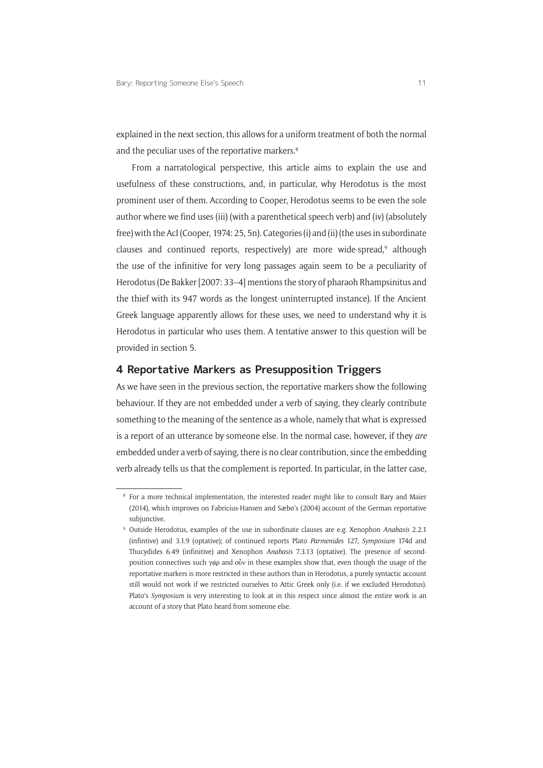explained in the next section, this allows for a uniform treatment of both the normal and the peculiar uses of the reportative markers.<sup>8</sup>

From a narratological perspective, this article aims to explain the use and usefulness of these constructions, and, in particular, why Herodotus is the most prominent user of them. According to Cooper, Herodotus seems to be even the sole author where we find uses (iii) (with a parenthetical speech verb) and (iv) (absolutely free) with the AcI (Cooper, 1974: 25, 5n). Categories (i) and (ii) (the uses in subordinate clauses and continued reports, respectively) are more wide-spread,<sup>9</sup> although the use of the infinitive for very long passages again seem to be a peculiarity of Herodotus (De Bakker [2007: 33–4] mentions the story of pharaoh Rhampsinitus and the thief with its 947 words as the longest uninterrupted instance). If the Ancient Greek language apparently allows for these uses, we need to understand why it is Herodotus in particular who uses them. A tentative answer to this question will be provided in section 5.

#### **4 Reportative Markers as Presupposition Triggers**

As we have seen in the previous section, the reportative markers show the following behaviour. If they are not embedded under a verb of saying, they clearly contribute something to the meaning of the sentence as a whole, namely that what is expressed is a report of an utterance by someone else. In the normal case, however, if they *are* embedded under a verb of saying, there is no clear contribution, since the embedding verb already tells us that the complement is reported. In particular, in the latter case,

<sup>8</sup> For a more technical implementation, the interested reader might like to consult Bary and Maier (2014), which improves on Fabricius-Hansen and Sæbø's (2004) account of the German reportative subjunctive.

<sup>9</sup> Outside Herodotus, examples of the use in subordinate clauses are e.g. Xenophon *Anabasis* 2.2.1 (infintive) and 3.1.9 (optative); of continued reports Plato *Parmenides* 127, *Symposium* 174d and Thucydides 6.49 (infinitive) and Xenophon *Anabasis* 7.3.13 (optative). The presence of secondposition connectives such γάρ and οὖν in these examples show that, even though the usage of the reportative markers is more restricted in these authors than in Herodotus, a purely syntactic account still would not work if we restricted ourselves to Attic Greek only (i.e. if we excluded Herodotus). Plato's *Symposium* is very interesting to look at in this respect since almost the entire work is an account of a story that Plato heard from someone else.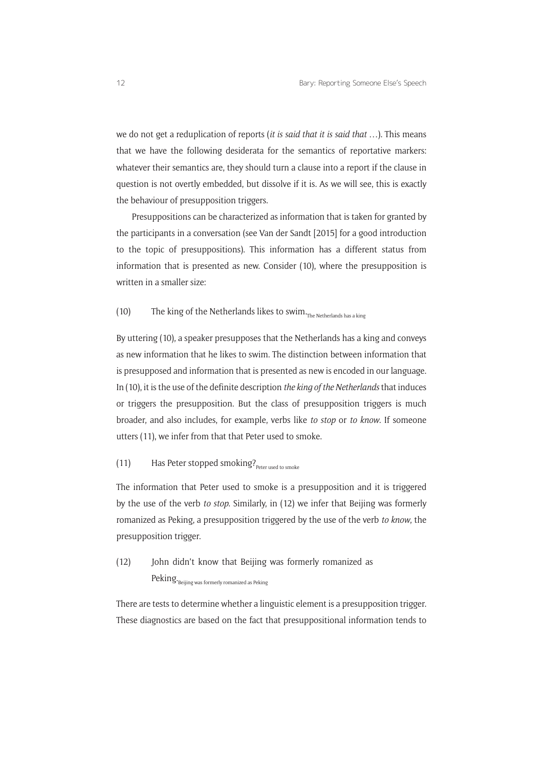we do not get a reduplication of reports (*it is said that it is said that* …). This means that we have the following desiderata for the semantics of reportative markers: whatever their semantics are, they should turn a clause into a report if the clause in question is not overtly embedded, but dissolve if it is. As we will see, this is exactly the behaviour of presupposition triggers.

Presuppositions can be characterized as information that is taken for granted by the participants in a conversation (see Van der Sandt [2015] for a good introduction to the topic of presuppositions). This information has a different status from information that is presented as new. Consider (10), where the presupposition is written in a smaller size:

## (10) The king of the Netherlands likes to swim $_{\text{The Netherlands has a king}}$

By uttering (10), a speaker presupposes that the Netherlands has a king and conveys as new information that he likes to swim. The distinction between information that is presupposed and information that is presented as new is encoded in our language. In (10), it is the use of the definite description *the king of the Netherlands* that induces or triggers the presupposition. But the class of presupposition triggers is much broader, and also includes, for example, verbs like *to stop* or *to know*. If someone utters (11), we infer from that that Peter used to smoke.

## (11) Has Peter stopped smoking? $P_{\text{Peter used to smoke}}$

The information that Peter used to smoke is a presupposition and it is triggered by the use of the verb *to stop*. Similarly, in (12) we infer that Beijing was formerly romanized as Peking, a presupposition triggered by the use of the verb *to know*, the presupposition trigger.

(12) John didn't know that Beijing was formerly romanized as  $Peking.$ Beijing was formerly romanized as Peking

There are tests to determine whether a linguistic element is a presupposition trigger. These diagnostics are based on the fact that presuppositional information tends to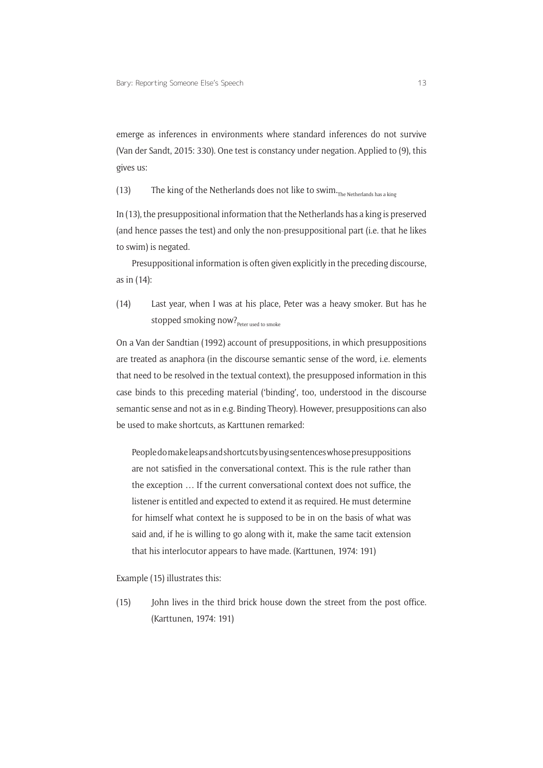emerge as inferences in environments where standard inferences do not survive (Van der Sandt, 2015: 330). One test is constancy under negation. Applied to (9), this gives us:

(13) The king of the Netherlands does not like to swim.<sub>The Netherlands has a king</sub>

In (13), the presuppositional information that the Netherlands has a king is preserved (and hence passes the test) and only the non-presuppositional part (i.e. that he likes to swim) is negated.

Presuppositional information is often given explicitly in the preceding discourse, as in (14):

(14) Last year, when I was at his place, Peter was a heavy smoker. But has he stopped smoking now? Peter used to smoke

On a Van der Sandtian (1992) account of presuppositions, in which presuppositions are treated as anaphora (in the discourse semantic sense of the word, i.e. elements that need to be resolved in the textual context), the presupposed information in this case binds to this preceding material ('binding', too, understood in the discourse semantic sense and not as in e.g. Binding Theory). However, presuppositions can also be used to make shortcuts, as Karttunen remarked:

People do make leaps and shortcuts by using sentences whose presuppositions are not satisfied in the conversational context. This is the rule rather than the exception … If the current conversational context does not suffice, the listener is entitled and expected to extend it as required. He must determine for himself what context he is supposed to be in on the basis of what was said and, if he is willing to go along with it, make the same tacit extension that his interlocutor appears to have made. (Karttunen, 1974: 191)

Example (15) illustrates this:

(15) John lives in the third brick house down the street from the post office. (Karttunen, 1974: 191)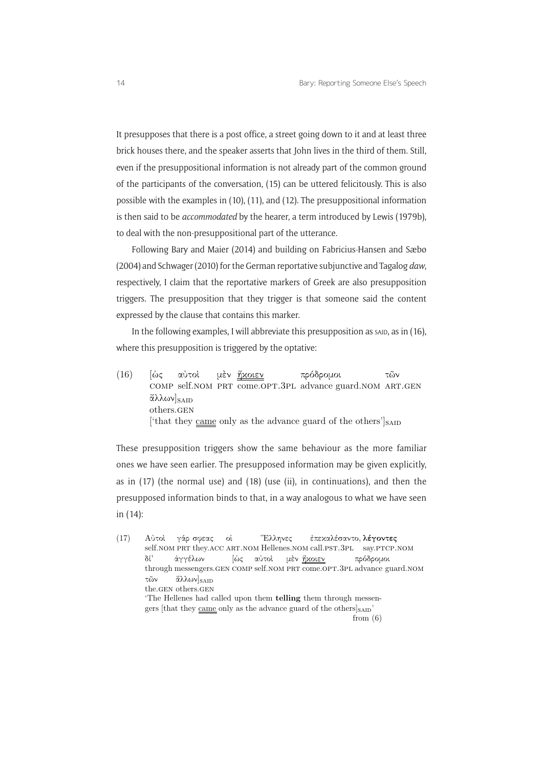It presupposes that there is a post office, a street going down to it and at least three brick houses there, and the speaker asserts that John lives in the third of them. Still, even if the presuppositional information is not already part of the common ground of the participants of the conversation, (15) can be uttered felicitously. This is also possible with the examples in (10), (11), and (12). The presuppositional information is then said to be *accommodated* by the hearer, a term introduced by Lewis (1979b), to deal with the non-presuppositional part of the utterance.

Following Bary and Maier (2014) and building on Fabricius-Hansen and Sæbø (2004) and Schwager (2010) for the German reportative subjunctive and Tagalog *daw*, respectively, I claim that the reportative markers of Greek are also presupposition triggers. The presupposition that they trigger is that someone said the content expressed by the clause that contains this marker.

In the following examples, I will abbreviate this presupposition as said, as in  $(16)$ , where this presupposition is triggered by the optative:

 $(16)$   $\lbrack \omega \zeta$ COMP self.NOM PRT come.OPT.3PL advance guard.NOM ART.GEN αύτοι μὲν <u>ἥχοιεν</u> πρδροµοι τῶν άλλων]<sub>SAID</sub> others.gen ['that they came only as the advance guard of the others'] $_{\text{SAID}}$ 

These presupposition triggers show the same behaviour as the more familiar ones we have seen earlier. The presupposed information may be given explicitly, as in (17) (the normal use) and (18) (use (ii), in continuations), and then the presupposed information binds to that, in a way analogous to what we have seen in (14):

 $(17)$   $A\dot{\nu}$  τοι self.nom PRT they.ACC ART.NOM Hellenes.NOM call.PST.3PL say.PTCP.NOM γάρ σφεας ο Ελληνες έπεκαλέσαντο, **λέγοντες** δ through messengers.GEN COMP self.NOM PRT come.OPT.3PL advance guard.NOM ἀγγέλων |ώς αὐτοὶ μὲν <u>ἥχοιεν</u> πρδροµοι τῶν the.gen others.gen αλλων]<sub>SAID</sub> 'The Hellenes had called upon them telling them through messengers [that they came only as the advance guard of the others] $_{\text{SAD}}$ ' from  $(6)$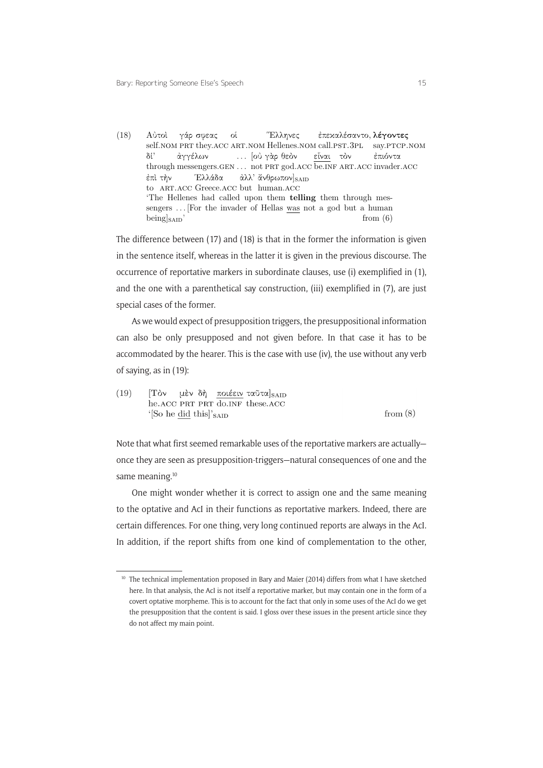(18) Αὐτοί γάρσφεας οί self.nom PRT they.ACC ART.NOM Hellenes.NOM call.PST.3PL = say.PTCP.NOM Ελληνες έπεκαλέσαντο, **λέγοντες** δ through messengers.GEN ... not PRT god.ACC be.INF ART.ACC invader.ACC ἀγγέλων ... [οὐ γὰρ θεὸν <u>είναι</u> τὸν επιόντα επί τὴν to ART.ACC Greece.ACC but human.ACC Έλλάδα ἀλλ' ἄνθρωπον]<sub>SAID</sub> 'The Hellenes had called upon them telling them through messengers ... [For the invader of Hellas was not a god but a human  $\begin{bmatrix} \text{being} \\ \text{say} \end{bmatrix}$  from (6)

The difference between (17) and (18) is that in the former the information is given in the sentence itself, whereas in the latter it is given in the previous discourse. The occurrence of reportative markers in subordinate clauses, use (i) exemplified in (1), and the one with a parenthetical say construction, (iii) exemplified in (7), are just special cases of the former.

As we would expect of presupposition triggers, the presuppositional information can also be only presupposed and not given before. In that case it has to be accommodated by the hearer. This is the case with use (iv), the use without any verb of saying, as in (19):

 $(19)$  $T\delta\nu$ μέν δή ποιέειν ταῦτα] SAID he.ACC PRT PRT do.INF these.ACC from  $(8)$ '[So he did this]'<sub>SAID</sub>

Note that what first seemed remarkable uses of the reportative markers are actually once they are seen as presupposition-triggers—natural consequences of one and the same meaning.<sup>10</sup>

1 In addition, if the report shifts from one kind of complementation to the other, One might wonder whether it is correct to assign one and the same meaning to the optative and AcI in their functions as reportative markers. Indeed, there are certain differences. For one thing, very long continued reports are always in the AcI.

<sup>&</sup>lt;sup>10</sup> The technical implementation proposed in Bary and Maier (2014) differs from what I have sketched here. In that analysis, the AcI is not itself a reportative marker, but may contain one in the form of a covert optative morpheme. This is to account for the fact that only in some uses of the AcI do we get the presupposition that the content is said. I gloss over these issues in the present article since they do not affect my main point.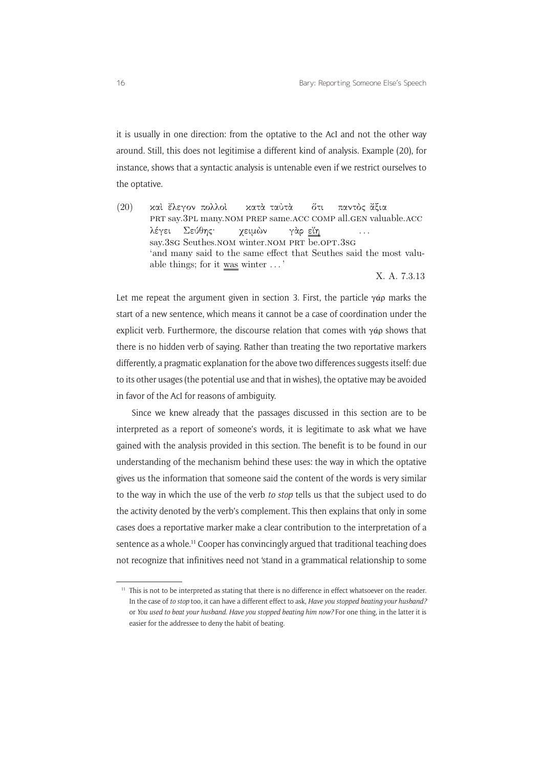it is usually in one direction: from the optative to the AcI and not the other way around. Still, this does not legitimise a different kind of analysis. Example (20), for instance, shows that a syntactic analysis is untenable even if we restrict ourselves to the optative.

 $(20)$ prt say.3pl many.nom prep same.acc comp all.gen valuable.acc έλεγον πολλο<mark>ί</mark> χατὰ ταὐτὰ τι παντὸς ἄξια λέγει say.3sG Seuthes.NOM winter.NOM PRT be.OPT.3sG Σε θης χειμών γὰρ <u>εἴη</u> ... 'and many said to the same effect that Seuthes said the most valuable things; for it was winter . . . '

X. A. 7.3.13

Let me repeat the argument given in section 3. First, the particle  $\gamma$ άρ marks the start of a new sentence, which means it cannot be a case of coordination under the explicit verb. Furthermore, the discourse relation that comes with  $\gamma$ άρ shows that there is no hidden verb of saying. Rather than treating the two reportative markers differently, a pragmatic explanation for the above two differences suggests itself: due to its other usages (the potential use and that in wishes), the optative may be avoided in favor of the AcI for reasons of ambiguity.

Since we knew already that the passages discussed in this section are to be interpreted as a report of someone's words, it is legitimate to ask what we have gained with the analysis provided in this section. The benefit is to be found in our understanding of the mechanism behind these uses: the way in which the optative gives us the information that someone said the content of the words is very similar to the way in which the use of the verb *to stop* tells us that the subject used to do the activity denoted by the verb's complement. This then explains that only in some cases does a reportative marker make a clear contribution to the interpretation of a sentence as a whole.<sup>11</sup> Cooper has convincingly argued that traditional teaching does not recognize that infinitives need not 'stand in a grammatical relationship to some

<sup>&</sup>lt;sup>11</sup> This is not to be interpreted as stating that there is no difference in effect whatsoever on the reader. In the case of *to stop* too, it can have a different effect to ask, *Have you stopped beating your husband?* or *You used to beat your husband. Have you stopped beating him now?* For one thing, in the latter it is easier for the addressee to deny the habit of beating.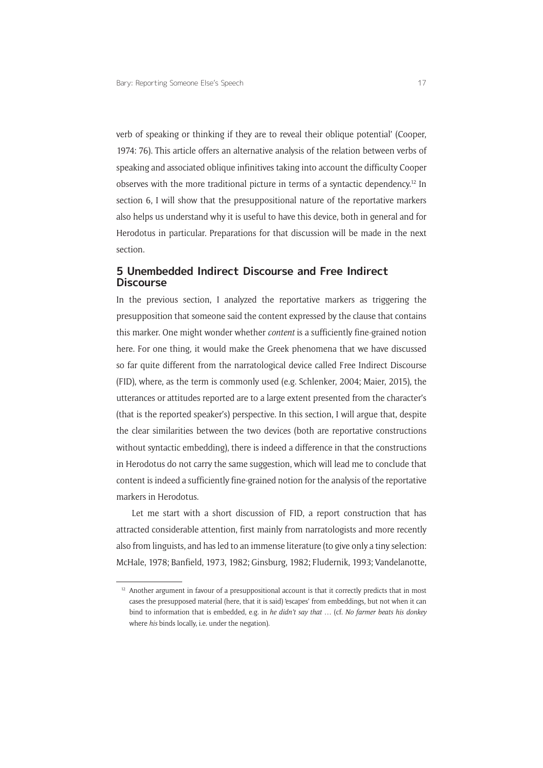verb of speaking or thinking if they are to reveal their oblique potential' (Cooper, 1974: 76). This article offers an alternative analysis of the relation between verbs of speaking and associated oblique infinitives taking into account the difficulty Cooper observes with the more traditional picture in terms of a syntactic dependency.12 In section 6, I will show that the presuppositional nature of the reportative markers also helps us understand why it is useful to have this device, both in general and for Herodotus in particular. Preparations for that discussion will be made in the next section.

#### **5 Unembedded Indirect Discourse and Free Indirect Discourse**

In the previous section, I analyzed the reportative markers as triggering the presupposition that someone said the content expressed by the clause that contains this marker. One might wonder whether *content* is a sufficiently fine-grained notion here. For one thing, it would make the Greek phenomena that we have discussed so far quite different from the narratological device called Free Indirect Discourse (FID), where, as the term is commonly used (e.g. Schlenker, 2004; Maier, 2015), the utterances or attitudes reported are to a large extent presented from the character's (that is the reported speaker's) perspective. In this section, I will argue that, despite the clear similarities between the two devices (both are reportative constructions without syntactic embedding), there is indeed a difference in that the constructions in Herodotus do not carry the same suggestion, which will lead me to conclude that content is indeed a sufficiently fine-grained notion for the analysis of the reportative markers in Herodotus.

Let me start with a short discussion of FID, a report construction that has attracted considerable attention, first mainly from narratologists and more recently also from linguists, and has led to an immense literature (to give only a tiny selection: McHale, 1978; Banfield, 1973, 1982; Ginsburg, 1982; Fludernik, 1993; Vandelanotte,

<sup>&</sup>lt;sup>12</sup> Another argument in favour of a presuppositional account is that it correctly predicts that in most cases the presupposed material (here, that it is said) 'escapes' from embeddings, but not when it can bind to information that is embedded, e.g. in *he didn't say that* … (cf. *No farmer beats his donkey* where *his* binds locally, i.e. under the negation).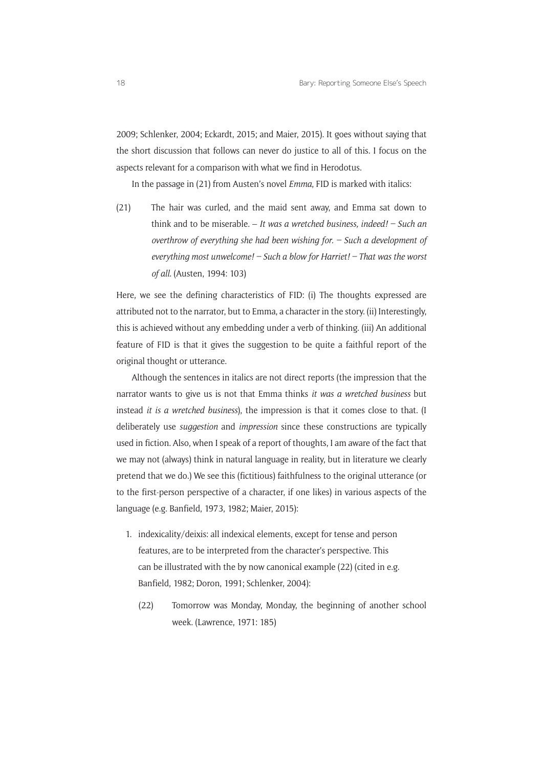2009; Schlenker, 2004; Eckardt, 2015; and Maier, 2015). It goes without saying that the short discussion that follows can never do justice to all of this. I focus on the aspects relevant for a comparison with what we find in Herodotus.

In the passage in (21) from Austen's novel *Emma*, FID is marked with italics:

(21) The hair was curled, and the maid sent away, and Emma sat down to think and to be miserable. – *It was a wretched business, indeed! – Such an overthrow of everything she had been wishing for. – Such a development of everything most unwelcome! – Such a blow for Harriet! – That was the worst of all*. (Austen, 1994: 103)

Here, we see the defining characteristics of FID: (i) The thoughts expressed are attributed not to the narrator, but to Emma, a character in the story. (ii) Interestingly, this is achieved without any embedding under a verb of thinking. (iii) An additional feature of FID is that it gives the suggestion to be quite a faithful report of the original thought or utterance.

Although the sentences in italics are not direct reports (the impression that the narrator wants to give us is not that Emma thinks *it was a wretched business* but instead *it is a wretched business*), the impression is that it comes close to that. (I deliberately use *suggestion* and *impression* since these constructions are typically used in fiction. Also, when I speak of a report of thoughts, I am aware of the fact that we may not (always) think in natural language in reality, but in literature we clearly pretend that we do.) We see this (fictitious) faithfulness to the original utterance (or to the first-person perspective of a character, if one likes) in various aspects of the language (e.g. Banfield, 1973, 1982; Maier, 2015):

- 1. indexicality/deixis: all indexical elements, except for tense and person features, are to be interpreted from the character's perspective. This can be illustrated with the by now canonical example (22) (cited in e.g. Banfield, 1982; Doron, 1991; Schlenker, 2004):
	- (22) Tomorrow was Monday, Monday, the beginning of another school week. (Lawrence, 1971: 185)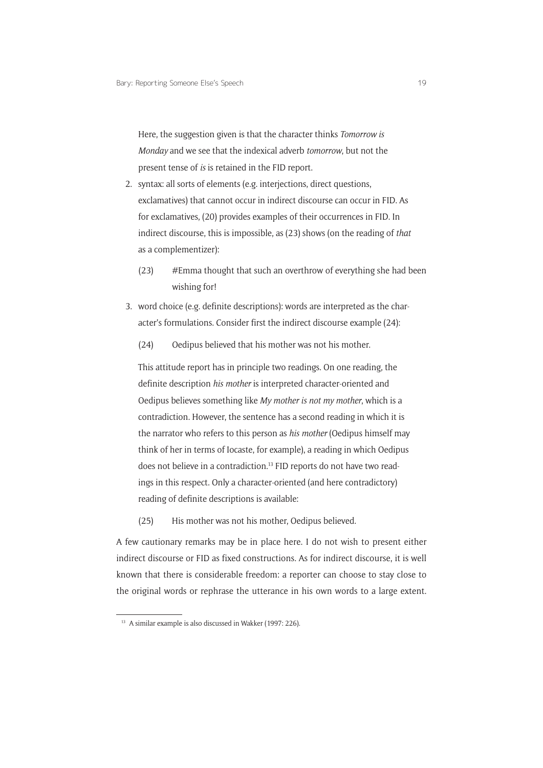Here, the suggestion given is that the character thinks *Tomorrow is Monday* and we see that the indexical adverb *tomorrow*, but not the present tense of *is* is retained in the FID report.

- 2. syntax: all sorts of elements (e.g. interjections, direct questions, exclamatives) that cannot occur in indirect discourse can occur in FID. As for exclamatives, (20) provides examples of their occurrences in FID. In indirect discourse, this is impossible, as (23) shows (on the reading of *that* as a complementizer):
	- (23) #Emma thought that such an overthrow of everything she had been wishing for!
- 3. word choice (e.g. definite descriptions): words are interpreted as the character's formulations. Consider first the indirect discourse example (24):
	- (24) Oedipus believed that his mother was not his mother.

This attitude report has in principle two readings. On one reading, the definite description *his mother* is interpreted character-oriented and Oedipus believes something like *My mother is not my mother*, which is a contradiction. However, the sentence has a second reading in which it is the narrator who refers to this person as *his mother* (Oedipus himself may think of her in terms of Iocaste, for example), a reading in which Oedipus does not believe in a contradiction.13 FID reports do not have two readings in this respect. Only a character-oriented (and here contradictory) reading of definite descriptions is available:

(25) His mother was not his mother, Oedipus believed.

A few cautionary remarks may be in place here. I do not wish to present either indirect discourse or FID as fixed constructions. As for indirect discourse, it is well known that there is considerable freedom: a reporter can choose to stay close to the original words or rephrase the utterance in his own words to a large extent.

<sup>&</sup>lt;sup>13</sup> A similar example is also discussed in Wakker (1997: 226).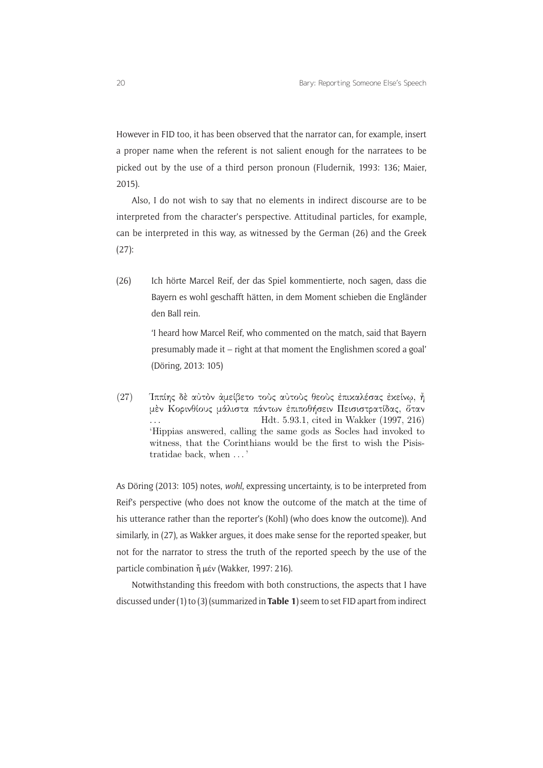However in FID too, it has been observed that the narrator can, for example, insert a proper name when the referent is not salient enough for the narratees to be picked out by the use of a third person pronoun (Fludernik, 1993: 136; Maier, 2015).

Also, I do not wish to say that no elements in indirect discourse are to be interpreted from the character's perspective. Attitudinal particles, for example, can be interpreted in this way, as witnessed by the German (26) and the Greek (27):

(26) Ich hörte Marcel Reif, der das Spiel kommentierte, noch sagen, dass die Bayern es wohl geschafft hätten, in dem Moment schieben die Engländer den Ball rein.

> 'I heard how Marcel Reif, who commented on the match, said that Bayern presumably made it – right at that moment the Englishmen scored a goal' (Döring, 2013: 105)

(27) - Ίππίης δὲ αὐτὸν ἀμείβετο τοὺς αὐτοὺς θεοὺς ἐπικαλέσας ἐκείνῳ, ἦ μέν Κορινθίους μάλιστα πάντων έπιποθήσειν Πεισιστρατίδας, όταν ... Hdt. 5.93.1, cited in Wakker (1997, 216) 'Hippias answered, calling the same gods as Socles had invoked to witness, that the Corinthians would be the first to wish the Pisistratidae back, when . . . '

As Döring (2013: 105) notes, *wohl*, expressing uncertainty, is to be interpreted from Reif's perspective (who does not know the outcome of the match at the time of his utterance rather than the reporter's (Kohl) (who does know the outcome)). And similarly, in (27), as Wakker argues, it does make sense for the reported speaker, but not for the narrator to stress the truth of the reported speech by the use of the particle combination ἦ μέν (Wakker, 1997: 216).

Notwithstanding this freedom with both constructions, the aspects that I have discussed under (1) to (3) (summarized in **Table 1**) seem to set FID apart from indirect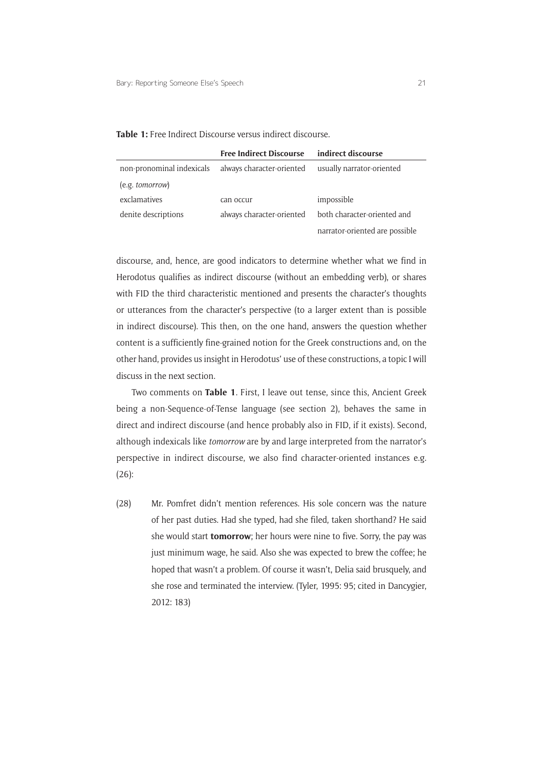| <b>Table 1:</b> Free Indirect Discourse versus indirect discourse. |  |  |
|--------------------------------------------------------------------|--|--|
|--------------------------------------------------------------------|--|--|

|                           | <b>Free Indirect Discourse</b> | indirect discourse             |
|---------------------------|--------------------------------|--------------------------------|
| non-pronominal indexicals | always character-oriented      | usually narrator-oriented      |
| (e.g. tomorrow)           |                                |                                |
| exclamatives              | can occur                      | impossible                     |
| denite descriptions       | always character-oriented      | both character-oriented and    |
|                           |                                | narrator-oriented are possible |

discourse, and, hence, are good indicators to determine whether what we find in Herodotus qualifies as indirect discourse (without an embedding verb), or shares with FID the third characteristic mentioned and presents the character's thoughts or utterances from the character's perspective (to a larger extent than is possible in indirect discourse). This then, on the one hand, answers the question whether content is a sufficiently fine-grained notion for the Greek constructions and, on the other hand, provides us insight in Herodotus' use of these constructions, a topic I will discuss in the next section.

Two comments on **Table 1**. First, I leave out tense, since this, Ancient Greek being a non-Sequence-of-Tense language (see section 2), behaves the same in direct and indirect discourse (and hence probably also in FID, if it exists). Second, although indexicals like *tomorrow* are by and large interpreted from the narrator's perspective in indirect discourse, we also find character-oriented instances e.g. (26):

(28) Mr. Pomfret didn't mention references. His sole concern was the nature of her past duties. Had she typed, had she filed, taken shorthand? He said she would start **tomorrow**; her hours were nine to five. Sorry, the pay was just minimum wage, he said. Also she was expected to brew the coffee; he hoped that wasn't a problem. Of course it wasn't, Delia said brusquely, and she rose and terminated the interview. (Tyler, 1995: 95; cited in Dancygier, 2012: 183)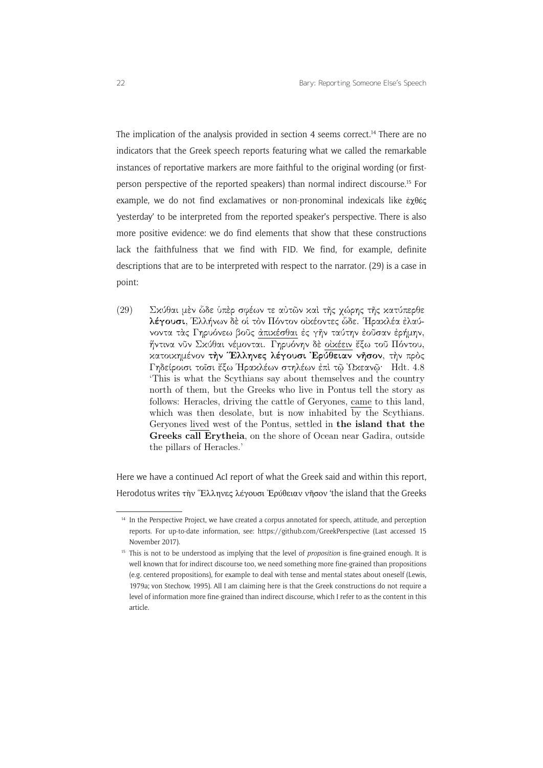The implication of the analysis provided in section 4 seems correct.<sup>14</sup> There are no indicators that the Greek speech reports featuring what we called the remarkable instances of reportative markers are more faithful to the original wording (or firstperson perspective of the reported speakers) than normal indirect discourse.15 For example, we do not find exclamatives or non-pronominal indexicals like ἐχθές 'yesterday' to be interpreted from the reported speaker's perspective. There is also more positive evidence: we do find elements that show that these constructions lack the faithfulness that we find with FID. We find, for example, definite descriptions that are to be interpreted with respect to the narrator. (29) is a case in point:

(29) -- Σκύθαι μὲν ὧδε ὑπὲρ σφέων τε αὐτῶν καὶ τῆς χώρης τῆς κατύπερθε λ**έγουσι**, Έλλήνων δὲ οὶ τὸν Πόντον οίχέοντες ὡδε. Ἡραχλέα έλαύνοντα τάς Γηρυόνεω βούς άπικέσθαι ές γήν ταύτην έούσαν έρήμην, ήντινα νῦν Σκύθαι νέμονται. Γηρυόνην δε οικέειν έξω τοῦ Πόντου, κατοικημένον <mark>την Έλληνες λέγουσι Έρύθειαν νήσον</mark>, την πρὸς Γηδείροισι τοῖσι ἔξω Ἡραχλέων στηλέων ἐπὶ τῷ Ὀχεανῷ· Hdt. 4.8 'This is what the Scythians say about themselves and the country north of them, but the Greeks who live in Pontus tell the story as follows: Heracles, driving the cattle of Geryones, came to this land, which was then desolate, but is now inhabited by the Scythians. Geryones lived west of the Pontus, settled in the island that the Greeks call Erytheia, on the shore of Ocean near Gadira, outside the pillars of Heracles.'

Here we have a continued AcI report of what the Greek said and within this report, Herodotus writes τὴν Έλληνες λέγουσι Ἐρύθειαν νῆσον 'the island that the Greeks

<sup>&</sup>lt;sup>14</sup> In the Perspective Project, we have created a corpus annotated for speech, attitude, and perception reports. For up-to-date information, see: <https://github.com/GreekPerspective> (Last accessed 15 November 2017).

<sup>&</sup>lt;sup>15</sup> This is not to be understood as implying that the level of *proposition* is fine-grained enough. It is well known that for indirect discourse too, we need something more fine-grained than propositions (e.g. centered propositions), for example to deal with tense and mental states about oneself (Lewis, 1979a; von Stechow, 1995). All I am claiming here is that the Greek constructions do not require a level of information more fine-grained than indirect discourse, which I refer to as the content in this article.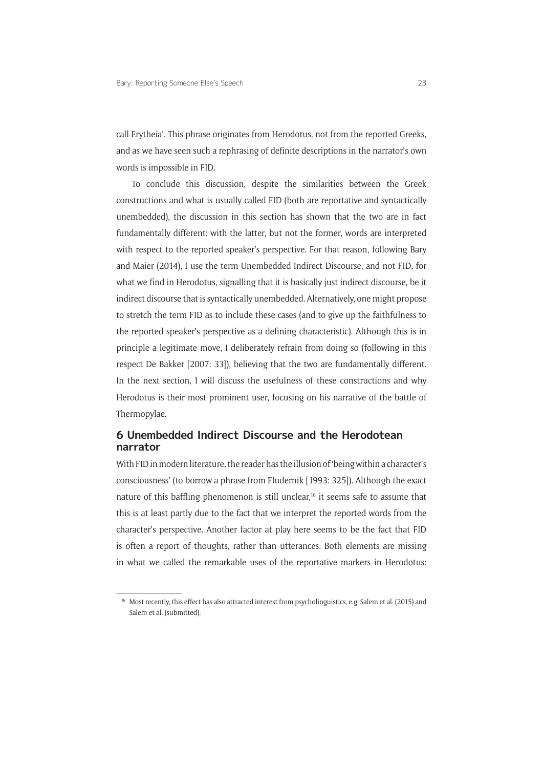call Erytheia'. This phrase originates from Herodotus, not from the reported Greeks, and as we have seen such a rephrasing of definite descriptions in the narrator's own words is impossible in FID.

To conclude this discussion, despite the similarities between the Greek constructions and what is usually called FID (both are reportative and syntactically unembedded), the discussion in this section has shown that the two are in fact fundamentally different: with the latter, but not the former, words are interpreted with respect to the reported speaker's perspective. For that reason, following Bary and Maier (2014), I use the term Unembedded Indirect Discourse, and not FID, for what we find in Herodotus, signalling that it is basically just indirect discourse, be it indirect discourse that is syntactically unembedded. Alternatively, one might propose to stretch the term FID as to include these cases (and to give up the faithfulness to the reported speaker's perspective as a defining characteristic). Although this is in principle a legitimate move, I deliberately refrain from doing so (following in this respect De Bakker [2007: 33]), believing that the two are fundamentally different. In the next section, I will discuss the usefulness of these constructions and why Herodotus is their most prominent user, focusing on his narrative of the battle of Thermopylae.

## **6 Unembedded Indirect Discourse and the Herodotean narrator**

With FID in modern literature, the reader has the illusion of 'being within a character's consciousness' (to borrow a phrase from Fludernik [1993: 325]). Although the exact nature of this baffling phenomenon is still unclear,<sup>16</sup> it seems safe to assume that this is at least partly due to the fact that we interpret the reported words from the character's perspective. Another factor at play here seems to be the fact that FID is often a report of thoughts, rather than utterances. Both elements are missing in what we called the remarkable uses of the reportative markers in Herodotus:

<sup>&</sup>lt;sup>16</sup> Most recently, this effect has also attracted interest from psycholinguistics, e.g. Salem et al. (2015) and Salem et al. (submitted).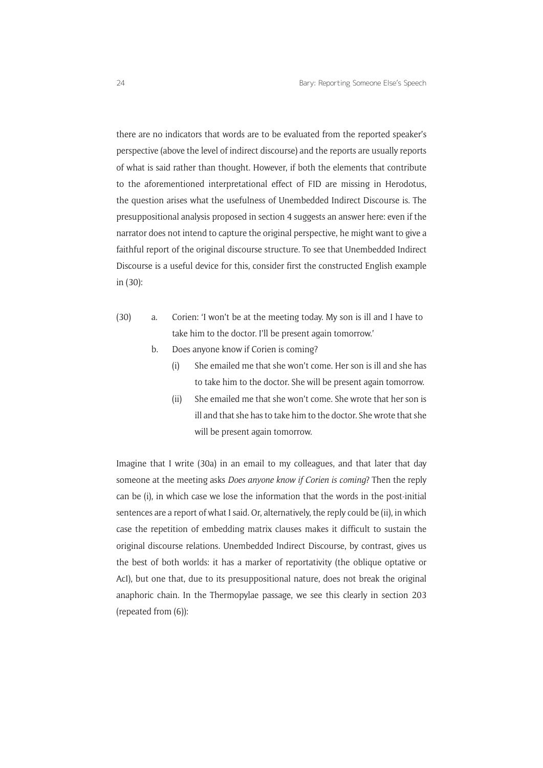there are no indicators that words are to be evaluated from the reported speaker's perspective (above the level of indirect discourse) and the reports are usually reports of what is said rather than thought. However, if both the elements that contribute to the aforementioned interpretational effect of FID are missing in Herodotus, the question arises what the usefulness of Unembedded Indirect Discourse is. The presuppositional analysis proposed in section 4 suggests an answer here: even if the narrator does not intend to capture the original perspective, he might want to give a faithful report of the original discourse structure. To see that Unembedded Indirect Discourse is a useful device for this, consider first the constructed English example in (30):

- (30) a. Corien: 'I won't be at the meeting today. My son is ill and I have to take him to the doctor. I'll be present again tomorrow.'
	- b. Does anyone know if Corien is coming?
		- (i) She emailed me that she won't come. Her son is ill and she has to take him to the doctor. She will be present again tomorrow.
		- (ii) She emailed me that she won't come. She wrote that her son is ill and that she has to take him to the doctor. She wrote that she will be present again tomorrow.

Imagine that I write (30a) in an email to my colleagues, and that later that day someone at the meeting asks *Does anyone know if Corien is coming*? Then the reply can be (i), in which case we lose the information that the words in the post-initial sentences are a report of what I said. Or, alternatively, the reply could be (ii), in which case the repetition of embedding matrix clauses makes it difficult to sustain the original discourse relations. Unembedded Indirect Discourse, by contrast, gives us the best of both worlds: it has a marker of reportativity (the oblique optative or AcI), but one that, due to its presuppositional nature, does not break the original anaphoric chain. In the Thermopylae passage, we see this clearly in section 203 (repeated from (6)):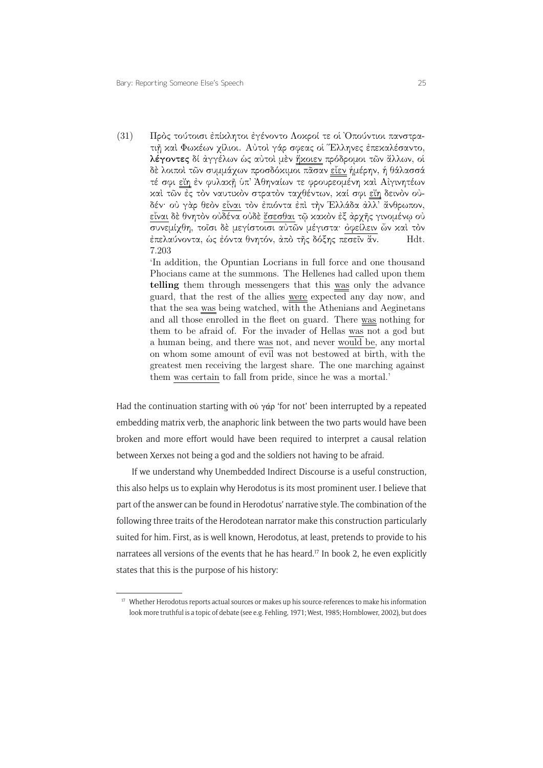$(31)$  – Πρὸς τούτοισι ἐπίχλητοι ἐγένοντο Λοχροί τε οἱ Ὀπούντιοι πανστρατιή και Φωκέων γίλιοι. Αύτοι γάρ σφεας οί Έλληνες έπεκαλέσαντο, λέγοντες δί άγγέλων ώς αύτοι μεν ήχοιεν πρόδρομοι των άλλων, οί δὲ λοιποὶ τῶν συμμάχων προσδόχιμοι πᾶσαν <u>εἶεν</u> ἡμέρην, ἡ θάλασσά τέ σφι <u>εΐη</u> έν φυλακῆ ὑπ' Άθηναίων τε φρουρεομένη καὶ Αίγινητέων καί τῶν ές τὸν ναυτικὸν στρατὸν ταχθέντων, καί σφι εἴη δεινὸν ούδέν· οὐ γὰρ θεὸν εἶναι τὸν ἐπιόντα ἐπὶ τὴν Ἑλλάδα ἀλλ' ἄνθρωπον, εἶναι δὲ θνητὸν οὐδένα οὐδὲ ἔσεσθαι τῷ κακὸν ἐξ ἀρχῆς γινομένῳ οὐ συνεμίχθη, τοΐσι δέ μεγίστοισι αύτῶν μέγιστα· όφείλειν ὦν καί τον έπελαύνοντα, ώς έόντα θνητόν, άπό της δόξης πεσεΐν άν. **Hdt.** 7.203

> 'In addition, the Opuntian Locrians in full force and one thousand Phocians came at the summons. The Hellenes had called upon them telling them through messengers that this was only the advance guard, that the rest of the allies were expected any day now, and that the sea was being watched, with the Athenians and Aeginetans and all those enrolled in the fleet on guard. There was nothing for them to be afraid of. For the invader of Hellas was not a god but a human being, and there was not, and never would be, any mortal on whom some amount of evil was not bestowed at birth, with the greatest men receiving the largest share. The one marching against them was certain to fall from pride, since he was a mortal.'

Had the continuation starting with οὐ γάρ 'for not' been interrupted by a repeated embedding matrix verb, the anaphoric link between the two parts would have been broken and more effort would have been required to interpret a causal relation between Xerxes not being a god and the soldiers not having to be afraid.

If we understand why Unembedded Indirect Discourse is a useful construction, this also helps us to explain why Herodotus is its most prominent user. I believe that part of the answer can be found in Herodotus' narrative style. The combination of the following three traits of the Herodotean narrator make this construction particularly suited for him. First, as is well known, Herodotus, at least, pretends to provide to his narratees all versions of the events that he has heard.17 In book 2, he even explicitly states that this is the purpose of his history:

<sup>&</sup>lt;sup>17</sup> Whether Herodotus reports actual sources or makes up his source-references to make his information look more truthful is a topic of debate (see e.g. Fehling, 1971; West, 1985; Hornblower, 2002), but does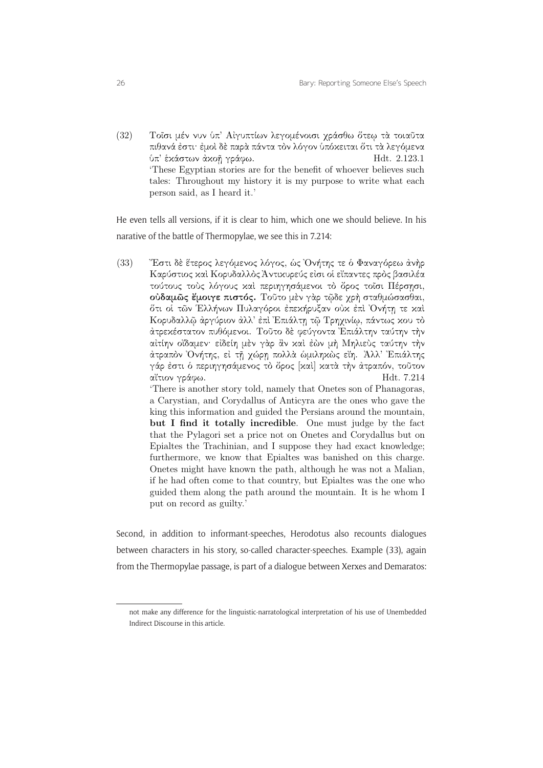(32) Τοΐσι μέν νυν ύπ' Αίγυπτίων λεγομένοισι χράσθω ὄτεω τα τοιαῦτα πιθανά έστι· έμοὶ δὲ παρὰ πάντα τὸν λόγον ὑπόχειται ὅτι τὰ λεγόμενα  $\pi'$  έκάστων άκοῆ γράφω. Hdt. 2.123.1 'These Egyptian stories are for the benefit of whoever believes such tales: Throughout my history it is my purpose to write what each person said, as I heard it.'

He even tells all versions, if it is clear to him, which one we should believe. In his narative of the battle of Thermopylae, we see this in 7.214:

(33) — "Έστι δὲ ἕτερος λεγόμενος λόγος, ὡς Ὀνήτης τε ὁ Φαναγόρεω ἀνὴρ Καρύστιος και Κορυδαλλός Άντικυρεύς είσι οι εϊπαντες προς βασιλέα τούτους τούς λόγους και περιηγησάμενοι το όρος τοΐσι Πέρσησι, ούδαμώς έμοιγε πιστός. Τούτο μέν γάρ τῷδε χρή σταθμώσασθαι, ὄτι οἱ τῶν Ἑλλήνων Πυλαγόροι ἐπεκήρυξαν οὐκ ἐπὶ Ὀνήτῃ τε καὶ Κορυδαλλῷ ἀργύριον ἀλλ' έπι Επιάλτη τῷ Τρηχινίω, πάντως κου τὸ ατρεκέστατον πυθόμενοι. Τούτο δέ φεύγοντα Επιάλτην ταύτην την αίτίην οΐδαμεν· είδείη μέν γάρ άν καί έων μή Μηλιεύς ταύτην τήν άτραπὸν Ὀνήτης, εἰ τῇ χώρῃ πολλὰ ὡμιληκὼς εἴη. Άλλ' Ἐπιάλτης γάρ ἐστι ὁ περιηγησάμενος τὸ ὄρος [καὶ] κατὰ τὴν ἀτραπόν, τοῦτον<br>αἴτιον γράφω. αἴτιον γράφω. 'There is another story told, namely that Onetes son of Phanagoras, a Carystian, and Corydallus of Anticyra are the ones who gave the king this information and guided the Persians around the mountain, but I find it totally incredible. One must judge by the fact that the Pylagori set a price not on Onetes and Corydallus but on Epialtes the Trachinian, and I suppose they had exact knowledge; furthermore, we know that Epialtes was banished on this charge. Onetes might have known the path, although he was not a Malian, if he had often come to that country, but Epialtes was the one who guided them along the path around the mountain. It is he whom I put on record as guilty.'

Second, in addition to informant-speeches, Herodotus also recounts dialogues between characters in his story, so-called character-speeches. Example (33), again from the Thermopylae passage, is part of a dialogue between Xerxes and Demaratos:

not make any difference for the linguistic-narratological interpretation of his use of Unembedded Indirect Discourse in this article.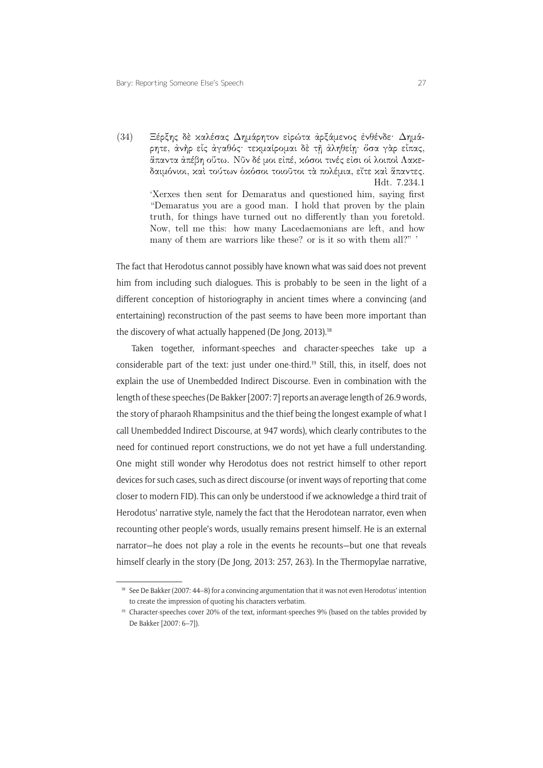(34) – Ξέρξης δὲ καλέσας Δημάρητον εἰρώτα ἀρξάμενος ἐνθένδε· Δημάρητε, άνήρ εἰς ἀγαθός· τεχμαίρομαι δὲ τῇ ἀληθείῃ· ὅσα γὰρ εἰπας, απαντα άπέβη ούτω. Νῦν δέ μοι είπέ, κόσοι τινές είσι οὶ λοιποὶ Λακεδαιμόνιοι, καὶ τούτων δκόσοι τοιοῦτοι τὰ πολέμια, εἴτε καὶ ἅπαντες. Hdt. 7.234.1 'Xerxes then sent for Demaratus and questioned him, saying first "Demaratus you are a good man. I hold that proven by the plain truth, for things have turned out no differently than you foretold. Now, tell me this: how many Lacedaemonians are left, and how many of them are warriors like these? or is it so with them all?" '

The fact that Herodotus cannot possibly have known what was said does not prevent him from including such dialogues. This is probably to be seen in the light of a different conception of historiography in ancient times where a convincing (and entertaining) reconstruction of the past seems to have been more important than the discovery of what actually happened (De Jong, 2013).<sup>18</sup>

Taken together, informant-speeches and character-speeches take up a considerable part of the text: just under one-third.19 Still, this, in itself, does not explain the use of Unembedded Indirect Discourse. Even in combination with the length of these speeches (De Bakker [2007: 7] reports an average length of 26.9 words, the story of pharaoh Rhampsinitus and the thief being the longest example of what I call Unembedded Indirect Discourse, at 947 words), which clearly contributes to the need for continued report constructions, we do not yet have a full understanding. One might still wonder why Herodotus does not restrict himself to other report devices for such cases, such as direct discourse (or invent ways of reporting that come closer to modern FID). This can only be understood if we acknowledge a third trait of Herodotus' narrative style, namely the fact that the Herodotean narrator, even when recounting other people's words, usually remains present himself. He is an external narrator—he does not play a role in the events he recounts—but one that reveals himself clearly in the story (De Jong, 2013: 257, 263). In the Thermopylae narrative,

<sup>1</sup> <sup>18</sup> See De Bakker (2007: 44–8) for a convincing argumentation that it was not even Herodotus' intention to create the impression of quoting his characters verbatim.

<sup>&</sup>lt;sup>19</sup> Character-speeches cover 20% of the text, informant-speeches 9% (based on the tables provided by De Bakker [2007: 6–7]).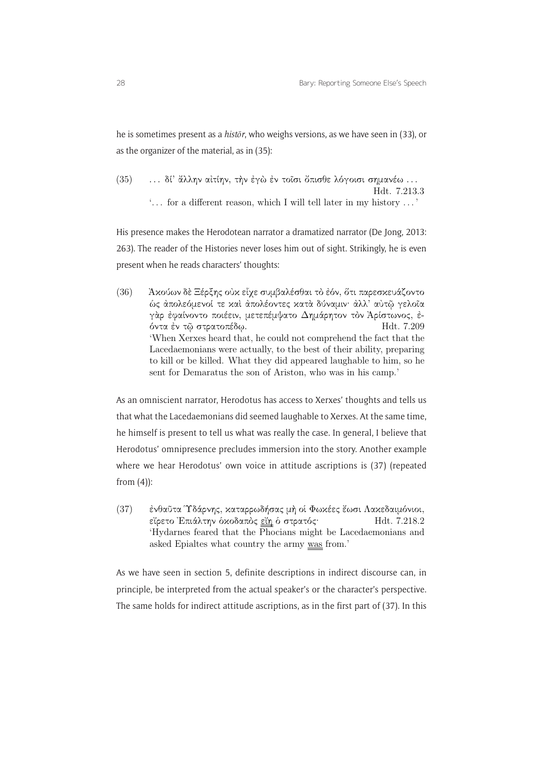he is sometimes present as a *histōr*, who weighs versions, as we have seen in (33), or as the organizer of the material, as in (35):

(35) ... δί' άλλην αιτίην, την έγω εν τοΐσι ὄπισθε λόγοισι σημανέω ... Hdt. 7.213.3 '. . . for a different reason, which I will tell later in my history . . . '

His presence makes the Herodotean narrator a dramatized narrator (De Jong, 2013: 263). The reader of the Histories never loses him out of sight. Strikingly, he is even present when he reads characters' thoughts:

(36) — Ἀκούων δὲ Ξέρξης οὐκ εἶχε συμβαλέσθαι τὸ ἐόν, ὅτι παρεσκευάζοντο ώς άπολεόμενοί τε καί άπολέοντες κατά δύναμιν· άλλ' αύτῶ γελοῖα γὰρ έφαίνοντο ποιέειν, μετεπέμψατο Δημάρητον τὸν Ἀρίστωνος, έντα -ν τ στρατοπδω. Hdt. 7.209 'When Xerxes heard that, he could not comprehend the fact that the Lacedaemonians were actually, to the best of their ability, preparing to kill or be killed. What they did appeared laughable to him, so he sent for Demaratus the son of Ariston, who was in his camp.'

As an omniscient narrator, Herodotus has access to Xerxes' thoughts and tells us that what the Lacedaemonians did seemed laughable to Xerxes. At the same time, he himself is present to tell us what was really the case. In general, I believe that Herodotus' omnipresence precludes immersion into the story. Another example where we hear Herodotus' own voice in attitude ascriptions is (37) (repeated from  $(4)$ :

(37) — ἐνθαῦτα Ύδάρνης, καταρρωδήσας μὴ οἱ Φωκέες ἔωσι Λακεδαιμόνιοι, ε-ρετο Επιλτην κοδαπς ε-η στρατς Hdt. 7.218.2 'Hydarnes feared that the Phocians might be Lacedaemonians and asked Epialtes what country the army was from.'

As we have seen in section 5, definite descriptions in indirect discourse can, in principle, be interpreted from the actual speaker's or the character's perspective. The same holds for indirect attitude ascriptions, as in the first part of (37). In this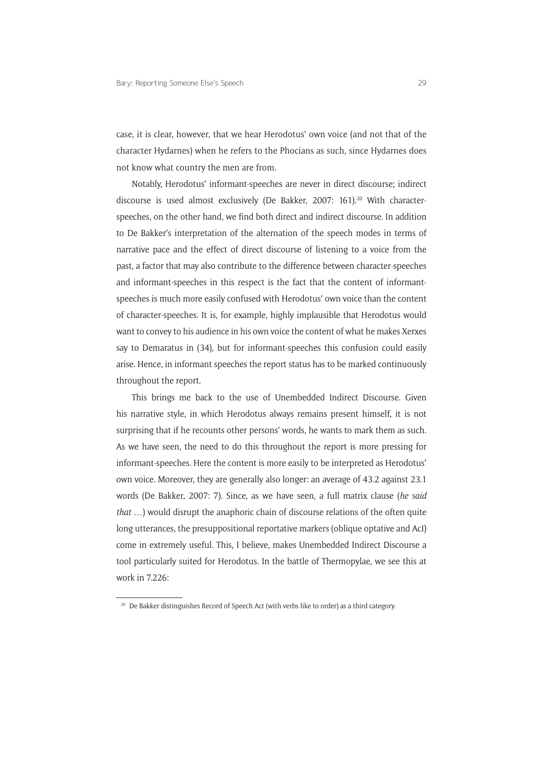case, it is clear, however, that we hear Herodotus' own voice (and not that of the character Hydarnes) when he refers to the Phocians as such, since Hydarnes does not know what country the men are from.

Notably, Herodotus' informant-speeches are never in direct discourse; indirect discourse is used almost exclusively (De Bakker, 2007: 161).20 With characterspeeches, on the other hand, we find both direct and indirect discourse. In addition to De Bakker's interpretation of the alternation of the speech modes in terms of narrative pace and the effect of direct discourse of listening to a voice from the past, a factor that may also contribute to the difference between character-speeches and informant-speeches in this respect is the fact that the content of informantspeeches is much more easily confused with Herodotus' own voice than the content of character-speeches. It is, for example, highly implausible that Herodotus would want to convey to his audience in his own voice the content of what he makes Xerxes say to Demaratus in (34), but for informant-speeches this confusion could easily arise. Hence, in informant speeches the report status has to be marked continuously throughout the report.

This brings me back to the use of Unembedded Indirect Discourse. Given his narrative style, in which Herodotus always remains present himself, it is not surprising that if he recounts other persons' words, he wants to mark them as such. As we have seen, the need to do this throughout the report is more pressing for informant-speeches. Here the content is more easily to be interpreted as Herodotus' own voice. Moreover, they are generally also longer: an average of 43.2 against 23.1 words (De Bakker, 2007: 7). Since, as we have seen, a full matrix clause (*he said that* …) would disrupt the anaphoric chain of discourse relations of the often quite long utterances, the presuppositional reportative markers (oblique optative and AcI) come in extremely useful. This, I believe, makes Unembedded Indirect Discourse a tool particularly suited for Herodotus. In the battle of Thermopylae, we see this at work in 7.226:

<sup>&</sup>lt;sup>20</sup> De Bakker distinguishes Record of Speech Act (with verbs like to order) as a third category.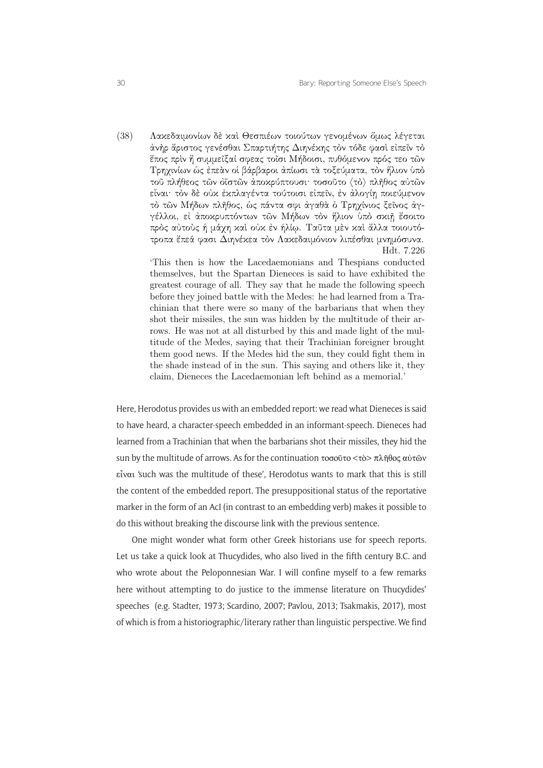(38) Λακεδαιμονίων δέ και Θεσπιέων τοιούτων γενομένων ὄμως λέγεται ἀνὴρ ἄριστος γενέσθαι Σπαρτιήτης Διηνέχης τὸν τόδε φασὶ εἰπεῖν τὸ έπος πρὶν ή συμμεῖξαί σφεας τοῖσι Μήδοισι, πυθόμενον πρός τεο τῶν Τρηχινίων ώς έπεαν οι βάρβαροι απίωσι τα τοξεύματα, τον ήλιον υπό τοῦ πλήθεος τῶν οϊστῶν ἀποχρύπτουσι· τοσοῦτο ⟨τὸ⟩ πλῆθος αύτῶν είναι· τον δέ ούχ έχπλαγέντα τούτοισι είπεϊν, έν άλογίη ποιεύμενον τὸ τῶν Μήδων πλῆθος, ὼς πάντα σφι άγαθὰ ὁ Τρηχίνιος ξεῖνος άγγέλλοι, εἰ ἀποχρυπτόντων τῶν Μήδων τὸν ἥλιον ὑπὸ σχιῇ ἔσοιτο πρός αύτους ή μάχη και ουκ έν ήλίω. Ταῦτα μεν και ἄλλα τοιουτότροπα έπεά φασι Διηνέκεα τὸν Λακεδαιμόνιον λιπέσθαι μνημόσυνα. Hdt. 7.226

> 'This then is how the Lacedaemonians and Thespians conducted themselves, but the Spartan Dieneces is said to have exhibited the greatest courage of all. They say that he made the following speech before they joined battle with the Medes: he had learned from a Trachinian that there were so many of the barbarians that when they shot their missiles, the sun was hidden by the multitude of their arrows. He was not at all disturbed by this and made light of the multitude of the Medes, saying that their Trachinian foreigner brought them good news. If the Medes hid the sun, they could fight them in the shade instead of in the sun. This saying and others like it, they claim, Dieneces the Lacedaemonian left behind as a memorial.'

Here, Herodotus provides us with an embedded report: we read what Dieneces is said to have heard, a character-speech embedded in an informant-speech. Dieneces had learned from a Trachinian that when the barbarians shot their missiles, they hid the sun by the multitude of arrows. As for the continuation τοσοῦτο <τὸ> πλῆθος αὐτῶν εἶναι 'such was the multitude of these', Herodotus wants to mark that this is still the content of the embedded report. The presuppositional status of the reportative marker in the form of an AcI (in contrast to an embedding verb) makes it possible to do this without breaking the discourse link with the previous sentence.

here without attempting to do justice to the immense literature on Thucydides' One might wonder what form other Greek historians use for speech reports. Let us take a quick look at Thucydides, who also lived in the fifth century B.C. and who wrote about the Peloponnesian War. I will confine myself to a few remarks speeches (e.g. Stadter, 1973; Scardino, 2007; Pavlou, 2013; Tsakmakis, 2017), most of which is from a historiographic/literary rather than linguistic perspective. We find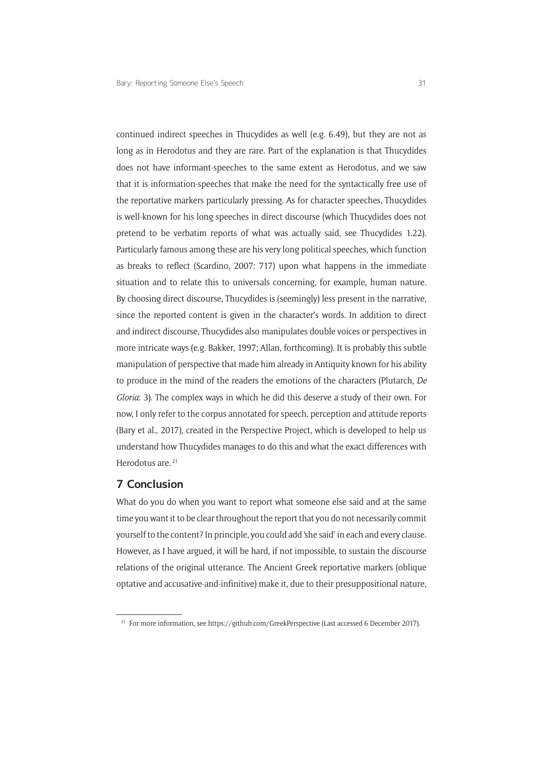continued indirect speeches in Thucydides as well (e.g. 6.49), but they are not as long as in Herodotus and they are rare. Part of the explanation is that Thucydides does not have informant-speeches to the same extent as Herodotus, and we saw that it is information-speeches that make the need for the syntactically free use of the reportative markers particularly pressing. As for character speeches, Thucydides is well-known for his long speeches in direct discourse (which Thucydides does not pretend to be verbatim reports of what was actually said, see Thucydides 1.22). Particularly famous among these are his very long political speeches, which function as breaks to reflect (Scardino, 2007: 717) upon what happens in the immediate situation and to relate this to universals concerning, for example, human nature. By choosing direct discourse, Thucydides is (seemingly) less present in the narrative, since the reported content is given in the character's words. In addition to direct and indirect discourse, Thucydides also manipulates double voices or perspectives in more intricate ways (e.g. Bakker, 1997; Allan, forthcoming). It is probably this subtle manipulation of perspective that made him already in Antiquity known for his ability to produce in the mind of the readers the emotions of the characters (Plutarch, *De Gloria*: 3). The complex ways in which he did this deserve a study of their own. For now, I only refer to the corpus annotated for speech, perception and attitude reports (Bary et al., 2017), created in the Perspective Project, which is developed to help us understand how Thucydides manages to do this and what the exact differences with Herodotus are.<sup>21</sup>

#### **7 Conclusion**

What do you do when you want to report what someone else said and at the same time you want it to be clear throughout the report that you do not necessarily commit yourself to the content? In principle, you could add 'she said' in each and every clause. However, as I have argued, it will be hard, if not impossible, to sustain the discourse relations of the original utterance. The Ancient Greek reportative markers (oblique optative and accusative-and-infinitive) make it, due to their presuppositional nature,

<sup>&</sup>lt;sup>21</sup> For more information, see<https://github.com/GreekPerspective>(Last accessed 6 December 2017).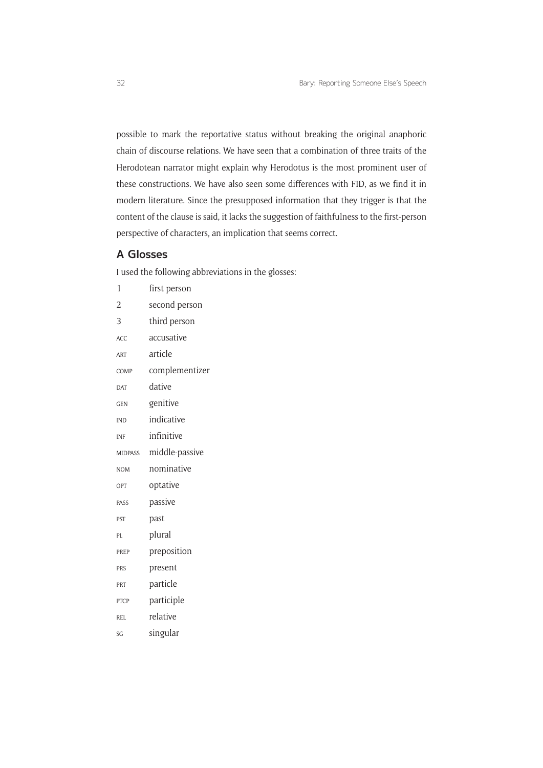possible to mark the reportative status without breaking the original anaphoric chain of discourse relations. We have seen that a combination of three traits of the Herodotean narrator might explain why Herodotus is the most prominent user of these constructions. We have also seen some differences with FID, as we find it in modern literature. Since the presupposed information that they trigger is that the content of the clause is said, it lacks the suggestion of faithfulness to the first-person perspective of characters, an implication that seems correct.

### **A Glosses**

I used the following abbreviations in the glosses:

| 1              | first person   |
|----------------|----------------|
| $\overline{2}$ | second person  |
| 3              | third person   |
| ACC            | accusative     |
| <b>ART</b>     | article        |
| COMP           | complementizer |
| <b>DAT</b>     | dative         |
| <b>GEN</b>     | genitive       |
| <b>IND</b>     | indicative     |
| <b>INF</b>     | infinitive     |
| <b>MIDPASS</b> | middle-passive |
| <b>NOM</b>     | nominative     |
| OPT            | optative       |
| PASS           | passive        |
| PST            | past           |
| PL             | plural         |
| PREP           | preposition    |
| PRS            | present        |
| PRT            | particle       |
| <b>PTCP</b>    | participle     |
| <b>REL</b>     | relative       |
| SG             | singular       |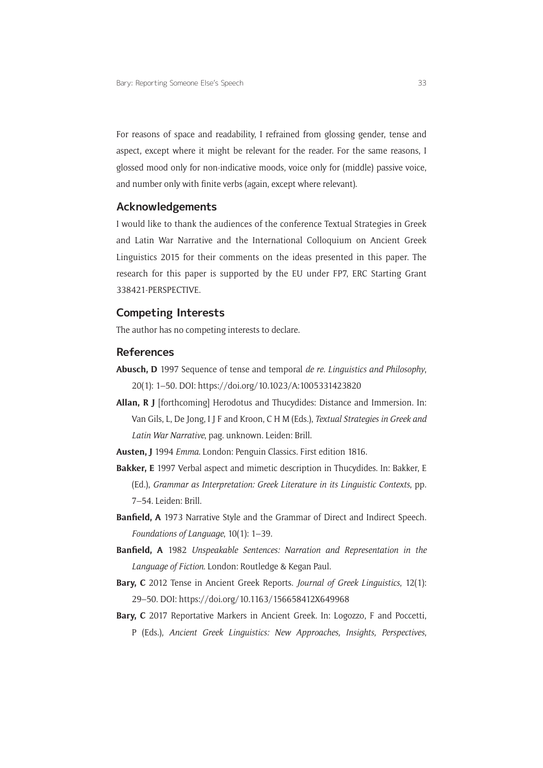For reasons of space and readability, I refrained from glossing gender, tense and aspect, except where it might be relevant for the reader. For the same reasons, I glossed mood only for non-indicative moods, voice only for (middle) passive voice, and number only with finite verbs (again, except where relevant).

#### **Acknowledgements**

I would like to thank the audiences of the conference Textual Strategies in Greek and Latin War Narrative and the International Colloquium on Ancient Greek Linguistics 2015 for their comments on the ideas presented in this paper. The research for this paper is supported by the EU under FP7, ERC Starting Grant 338421-PERSPECTIVE.

#### **Competing Interests**

The author has no competing interests to declare.

#### **References**

- **Abusch, D** 1997 Sequence of tense and temporal *de re. Linguistics and Philosophy*, 20(1): 1–50. DOI:<https://doi.org/10.1023/A:1005331423820>
- **Allan, R J** [forthcoming] Herodotus and Thucydides: Distance and Immersion. In: Van Gils, L, De Jong, I J F and Kroon, C H M (Eds.), *Textual Strategies in Greek and Latin War Narrative*, pag. unknown. Leiden: Brill.
- **Austen, J** 1994 *Emma*. London: Penguin Classics. First edition 1816.
- **Bakker, E** 1997 Verbal aspect and mimetic description in Thucydides. In: Bakker, E (Ed.), *Grammar as Interpretation: Greek Literature in its Linguistic Contexts*, pp. 7–54. Leiden: Brill.
- **Banfield, A** 1973 Narrative Style and the Grammar of Direct and Indirect Speech. *Foundations of Language*, 10(1): 1–39.
- **Banfield, A** 1982 *Unspeakable Sentences: Narration and Representation in the Language of Fiction*. London: Routledge & Kegan Paul.
- **Bary, C** 2012 Tense in Ancient Greek Reports. *Journal of Greek Linguistics*, 12(1): 29–50. DOI:<https://doi.org/10.1163/156658412X649968>
- **Bary, C** 2017 Reportative Markers in Ancient Greek. In: Logozzo, F and Poccetti, P (Eds.), *Ancient Greek Linguistics: New Approaches, Insights, Perspectives*,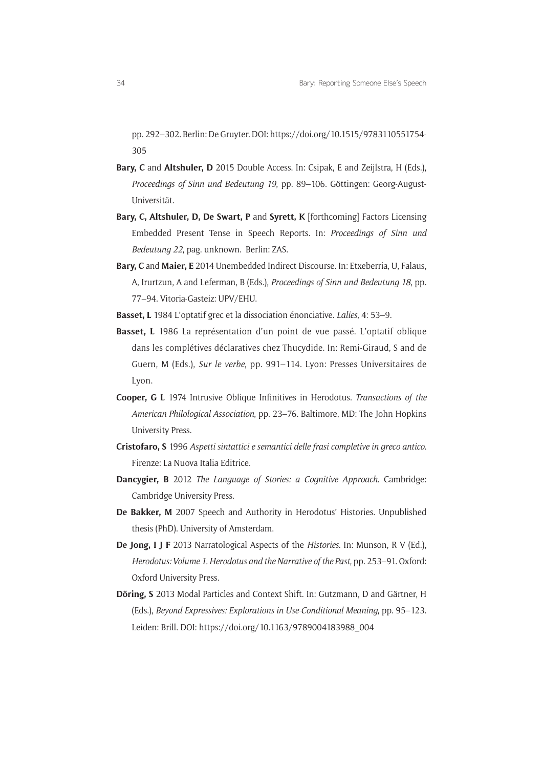pp. 292–302. Berlin: De Gruyter. DOI: [https://doi.org/10.1515/9783110551754-](https://doi.org/10.1515/9783110551754-305) [305](https://doi.org/10.1515/9783110551754-305)

- **Bary, C** and **Altshuler, D** 2015 Double Access. In: Csipak, E and Zeijlstra, H (Eds.), *Proceedings of Sinn und Bedeutung 19*, pp. 89–106. Göttingen: Georg-August-Universität.
- **Bary, C, Altshuler, D, De Swart, P** and **Syrett, K** [forthcoming] Factors Licensing Embedded Present Tense in Speech Reports. In: *Proceedings of Sinn und Bedeutung 22*, pag. unknown. Berlin: ZAS.
- **Bary, C** and **Maier, E** 2014 Unembedded Indirect Discourse. In: Etxeberria, U, Falaus, A, Irurtzun, A and Leferman, B (Eds.), *Proceedings of Sinn und Bedeutung 18*, pp. 77–94. Vitoria-Gasteiz: UPV/EHU.
- **Basset, L** 1984 L'optatif grec et la dissociation énonciative. *Lalies*, 4: 53–9.
- **Basset, L** 1986 La représentation d'un point de vue passé. L'optatif oblique dans les complétives déclaratives chez Thucydide. In: Remi-Giraud, S and de Guern, M (Eds.), *Sur le verbe*, pp. 991–114. Lyon: Presses Universitaires de Lyon.
- **Cooper, G L** 1974 Intrusive Oblique Infinitives in Herodotus. *Transactions of the American Philological Association*, pp. 23–76. Baltimore, MD: The John Hopkins University Press.
- **Cristofaro, S** 1996 *Aspetti sintattici e semantici delle frasi completive in greco antico*. Firenze: La Nuova Italia Editrice.
- **Dancygier, B** 2012 *The Language of Stories: a Cognitive Approach*. Cambridge: Cambridge University Press.
- **De Bakker, M** 2007 Speech and Authority in Herodotus' Histories. Unpublished thesis (PhD). University of Amsterdam.
- **De Jong, I J F** 2013 Narratological Aspects of the *Histories*. In: Munson, R V (Ed.), *Herodotus: Volume 1. Herodotus and the Narrative of the Past*, pp. 253–91. Oxford: Oxford University Press.
- **Döring, S** 2013 Modal Particles and Context Shift. In: Gutzmann, D and Gärtner, H (Eds.), *Beyond Expressives: Explorations in Use-Conditional Meaning*, pp. 95–123. Leiden: Brill. DOI: [https://doi.org/10.1163/9789004183988\\_004](https://doi.org/10.1163/9789004183988_004)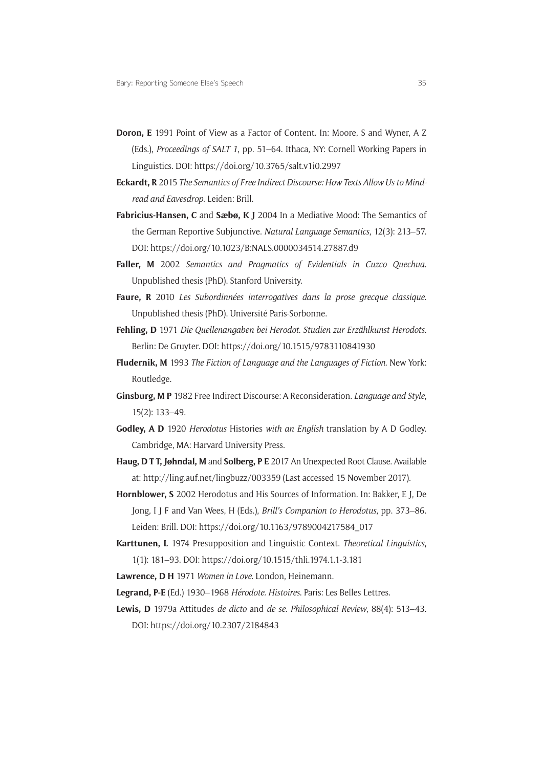- **Doron, E** 1991 Point of View as a Factor of Content. In: Moore, S and Wyner, A Z (Eds.), *Proceedings of SALT 1*, pp. 51–64. Ithaca, NY: Cornell Working Papers in Linguistics. DOI:<https://doi.org/10.3765/salt.v1i0.2997>
- **Eckardt, R** 2015 *The Semantics of Free Indirect Discourse: How Texts Allow Us to Mindread and Eavesdrop*. Leiden: Brill.
- **Fabricius-Hansen, C** and **Sæbø, K J** 2004 In a Mediative Mood: The Semantics of the German Reportive Subjunctive. *Natural Language Semantics*, 12(3): 213–57. DOI:<https://doi.org/10.1023/B:NALS.0000034514.27887.d9>
- **Faller, M** 2002 *Semantics and Pragmatics of Evidentials in Cuzco Quechua*. Unpublished thesis (PhD). Stanford University.
- **Faure, R** 2010 *Les Subordinnées interrogatives dans la prose grecque classique*. Unpublished thesis (PhD). Université Paris-Sorbonne.
- **Fehling, D** 1971 *Die Quellenangaben bei Herodot. Studien zur Erzählkunst Herodots*. Berlin: De Gruyter. DOI: <https://doi.org/10.1515/9783110841930>
- **Fludernik, M** 1993 *The Fiction of Language and the Languages of Fiction*. New York: Routledge.
- **Ginsburg, M P** 1982 Free Indirect Discourse: A Reconsideration. *Language and Style*, 15(2): 133–49.
- **Godley, A D** 1920 *Herodotus* Histories *with an English* translation by A D Godley. Cambridge, MA: Harvard University Press.
- **Haug, D T T, Jøhndal, M** and **Solberg, P E** 2017 An Unexpected Root Clause. Available at: <http://ling.auf.net/lingbuzz/003359>(Last accessed 15 November 2017).
- **Hornblower, S** 2002 Herodotus and His Sources of Information. In: Bakker, E J, De Jong, I J F and Van Wees, H (Eds.), *Brill's Companion to Herodotus*, pp. 373–86. Leiden: Brill. DOI: [https://doi.org/10.1163/9789004217584\\_017](https://doi.org/10.1163/9789004217584_017)
- **Karttunen, L** 1974 Presupposition and Linguistic Context. *Theoretical Linguistics*, 1(1): 181–93. DOI:<https://doi.org/10.1515/thli.1974.1.1-3.181>
- **Lawrence, D H** 1971 *Women in Love*. London, Heinemann.
- **Legrand, P-E** (Ed.) 1930–1968 *Hérodote. Histoires*. Paris: Les Belles Lettres.
- **Lewis, D** 1979a Attitudes *de dicto* and *de se*. *Philosophical Review*, 88(4): 513–43. DOI:<https://doi.org/10.2307/2184843>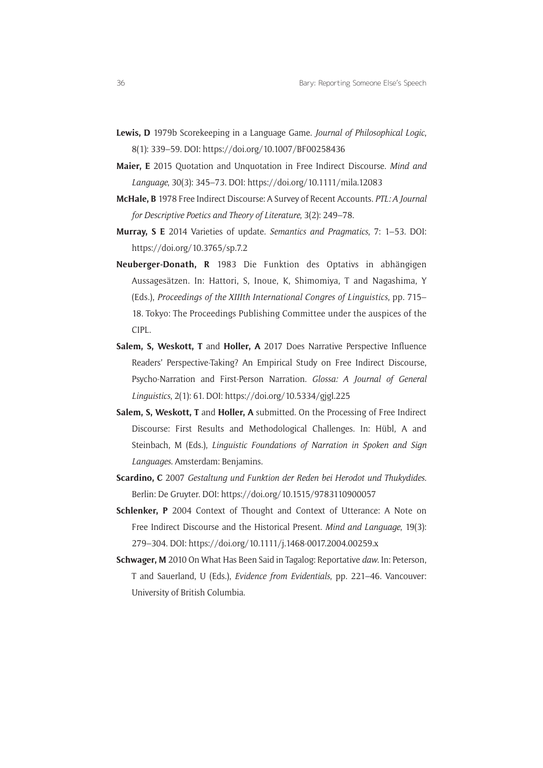- **Lewis, D** 1979b Scorekeeping in a Language Game. *Journal of Philosophical Logic*, 8(1): 339–59. DOI:<https://doi.org/10.1007/BF00258436>
- **Maier, E** 2015 Quotation and Unquotation in Free Indirect Discourse. *Mind and Language*, 30(3): 345–73. DOI:<https://doi.org/10.1111/mila.12083>
- **McHale, B** 1978 Free Indirect Discourse: A Survey of Recent Accounts. *PTL: A Journal for Descriptive Poetics and Theory of Literature*, 3(2): 249–78.
- **Murray, S E** 2014 Varieties of update. *Semantics and Pragmatics*, 7: 1–53. DOI: <https://doi.org/10.3765/sp.7.2>
- **Neuberger-Donath, R** 1983 Die Funktion des Optativs in abhängigen Aussagesätzen. In: Hattori, S, Inoue, K, Shimomiya, T and Nagashima, Y (Eds.), *Proceedings of the XIIIth International Congres of Linguistics*, pp. 715– 18. Tokyo: The Proceedings Publishing Committee under the auspices of the CIPL.
- **Salem, S, Weskott, T** and **Holler, A** 2017 Does Narrative Perspective Influence Readers' Perspective-Taking? An Empirical Study on Free Indirect Discourse, Psycho-Narration and First-Person Narration. *Glossa: A Journal of General Linguistics*, 2(1): 61. DOI: <https://doi.org/10.5334/gjgl.225>
- **Salem, S, Weskott, T** and **Holler, A** submitted. On the Processing of Free Indirect Discourse: First Results and Methodological Challenges. In: Hübl, A and Steinbach, M (Eds.), *Linguistic Foundations of Narration in Spoken and Sign Languages*. Amsterdam: Benjamins.
- **Scardino, C** 2007 *Gestaltung und Funktion der Reden bei Herodot und Thukydides*. Berlin: De Gruyter. DOI: <https://doi.org/10.1515/9783110900057>
- **Schlenker, P** 2004 Context of Thought and Context of Utterance: A Note on Free Indirect Discourse and the Historical Present. *Mind and Language*, 19(3): 279–304. DOI: <https://doi.org/10.1111/j.1468-0017.2004.00259.x>
- **Schwager, M** 2010 On What Has Been Said in Tagalog: Reportative *daw*. In: Peterson, T and Sauerland, U (Eds.), *Evidence from Evidentials*, pp. 221–46. Vancouver: University of British Columbia.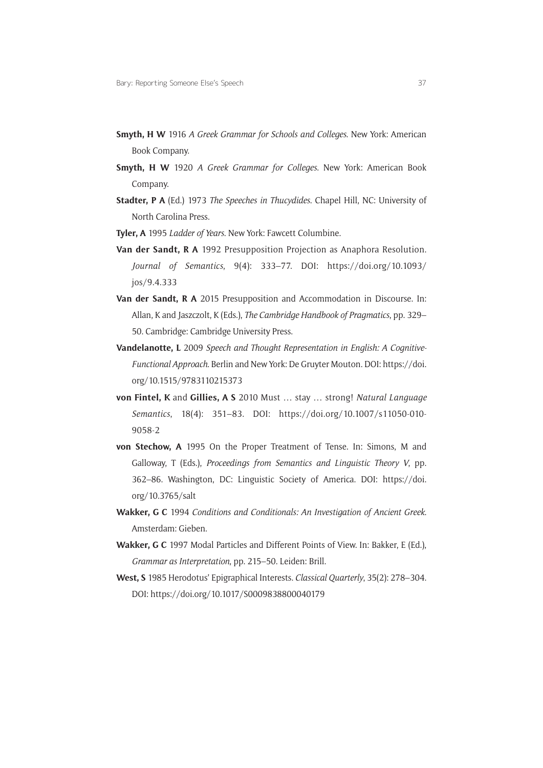- **Smyth, H W** 1916 *A Greek Grammar for Schools and Colleges*. New York: American Book Company.
- **Smyth, H W** 1920 *A Greek Grammar for Colleges*. New York: American Book Company.
- **Stadter, P A** (Ed.) 1973 *The Speeches in Thucydides*. Chapel Hill, NC: University of North Carolina Press.
- **Tyler, A** 1995 *Ladder of Years*. New York: Fawcett Columbine.
- **Van der Sandt, R A** 1992 Presupposition Projection as Anaphora Resolution. *Journal of Semantics*, 9(4): 333–77. DOI: [https://doi.org/10.1093/](https://doi.org/10.1093/jos/9.4.333) [jos/9.4.333](https://doi.org/10.1093/jos/9.4.333)
- **Van der Sandt, R A** 2015 Presupposition and Accommodation in Discourse. In: Allan, K and Jaszczolt, K (Eds.), *The Cambridge Handbook of Pragmatics*, pp. 329– 50. Cambridge: Cambridge University Press.
- **Vandelanotte, L** 2009 *Speech and Thought Representation in English: A Cognitive-Functional Approach*. Berlin and New York: De Gruyter Mouton. DOI: [https://doi.](https://doi.org/10.1515/9783110215373) [org/10.1515/9783110215373](https://doi.org/10.1515/9783110215373)
- **von Fintel, K** and **Gillies, A S** 2010 Must … stay … strong! *Natural Language Semantics*, 18(4): 351–83. DOI: [https://doi.org/10.1007/s11050-010-](https://doi.org/10.1007/s11050-010-9058-2) [9058-2](https://doi.org/10.1007/s11050-010-9058-2)
- **von Stechow, A** 1995 On the Proper Treatment of Tense. In: Simons, M and Galloway, T (Eds.), *Proceedings from Semantics and Linguistic Theory V*, pp. 362–86. Washington, DC: Linguistic Society of America. DOI: [https://doi.](https://doi.org/10.3765/salt) [org/10.3765/salt](https://doi.org/10.3765/salt)
- **Wakker, G C** 1994 *Conditions and Conditionals: An Investigation of Ancient Greek*. Amsterdam: Gieben.
- **Wakker, G C** 1997 Modal Particles and Different Points of View. In: Bakker, E (Ed.), *Grammar as Interpretation*, pp. 215–50. Leiden: Brill.
- **West, S** 1985 Herodotus' Epigraphical Interests. *Classical Quarterly*, 35(2): 278–304. DOI:<https://doi.org/10.1017/S0009838800040179>